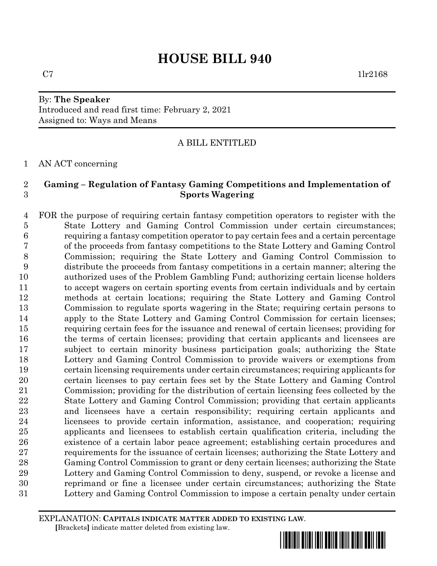## By: **The Speaker** Introduced and read first time: February 2, 2021 Assigned to: Ways and Means

# A BILL ENTITLED

AN ACT concerning

## **Gaming – Regulation of Fantasy Gaming Competitions and Implementation of Sports Wagering**

 FOR the purpose of requiring certain fantasy competition operators to register with the State Lottery and Gaming Control Commission under certain circumstances; requiring a fantasy competition operator to pay certain fees and a certain percentage of the proceeds from fantasy competitions to the State Lottery and Gaming Control Commission; requiring the State Lottery and Gaming Control Commission to distribute the proceeds from fantasy competitions in a certain manner; altering the authorized uses of the Problem Gambling Fund; authorizing certain license holders to accept wagers on certain sporting events from certain individuals and by certain methods at certain locations; requiring the State Lottery and Gaming Control Commission to regulate sports wagering in the State; requiring certain persons to apply to the State Lottery and Gaming Control Commission for certain licenses; requiring certain fees for the issuance and renewal of certain licenses; providing for the terms of certain licenses; providing that certain applicants and licensees are subject to certain minority business participation goals; authorizing the State Lottery and Gaming Control Commission to provide waivers or exemptions from certain licensing requirements under certain circumstances; requiring applicants for certain licenses to pay certain fees set by the State Lottery and Gaming Control Commission; providing for the distribution of certain licensing fees collected by the State Lottery and Gaming Control Commission; providing that certain applicants and licensees have a certain responsibility; requiring certain applicants and licensees to provide certain information, assistance, and cooperation; requiring applicants and licensees to establish certain qualification criteria, including the existence of a certain labor peace agreement; establishing certain procedures and requirements for the issuance of certain licenses; authorizing the State Lottery and Gaming Control Commission to grant or deny certain licenses; authorizing the State Lottery and Gaming Control Commission to deny, suspend, or revoke a license and reprimand or fine a licensee under certain circumstances; authorizing the State Lottery and Gaming Control Commission to impose a certain penalty under certain

EXPLANATION: **CAPITALS INDICATE MATTER ADDED TO EXISTING LAW**.  **[**Brackets**]** indicate matter deleted from existing law.

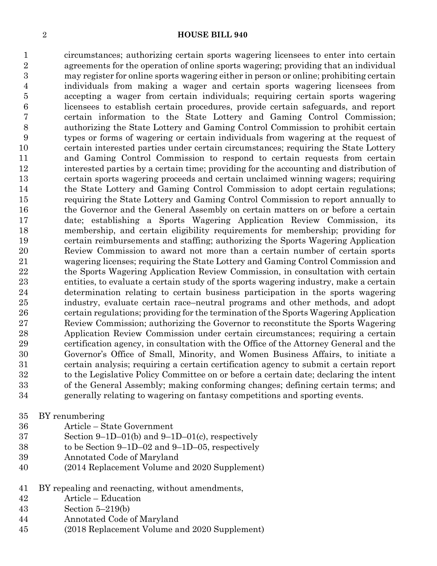circumstances; authorizing certain sports wagering licensees to enter into certain agreements for the operation of online sports wagering; providing that an individual may register for online sports wagering either in person or online; prohibiting certain individuals from making a wager and certain sports wagering licensees from accepting a wager from certain individuals; requiring certain sports wagering licensees to establish certain procedures, provide certain safeguards, and report certain information to the State Lottery and Gaming Control Commission; authorizing the State Lottery and Gaming Control Commission to prohibit certain types or forms of wagering or certain individuals from wagering at the request of certain interested parties under certain circumstances; requiring the State Lottery and Gaming Control Commission to respond to certain requests from certain interested parties by a certain time; providing for the accounting and distribution of certain sports wagering proceeds and certain unclaimed winning wagers; requiring the State Lottery and Gaming Control Commission to adopt certain regulations; requiring the State Lottery and Gaming Control Commission to report annually to the Governor and the General Assembly on certain matters on or before a certain date; establishing a Sports Wagering Application Review Commission, its membership, and certain eligibility requirements for membership; providing for certain reimbursements and staffing; authorizing the Sports Wagering Application Review Commission to award not more than a certain number of certain sports wagering licenses; requiring the State Lottery and Gaming Control Commission and the Sports Wagering Application Review Commission, in consultation with certain entities, to evaluate a certain study of the sports wagering industry, make a certain determination relating to certain business participation in the sports wagering industry, evaluate certain race–neutral programs and other methods, and adopt certain regulations; providing for the termination of the Sports Wagering Application Review Commission; authorizing the Governor to reconstitute the Sports Wagering Application Review Commission under certain circumstances; requiring a certain certification agency, in consultation with the Office of the Attorney General and the Governor's Office of Small, Minority, and Women Business Affairs, to initiate a certain analysis; requiring a certain certification agency to submit a certain report to the Legislative Policy Committee on or before a certain date; declaring the intent of the General Assembly; making conforming changes; defining certain terms; and generally relating to wagering on fantasy competitions and sporting events.

- BY renumbering
- Article State Government
- Section 9–1D–01(b) and 9–1D–01(c), respectively
- to be Section 9–1D–02 and 9–1D–05, respectively
- Annotated Code of Maryland
- (2014 Replacement Volume and 2020 Supplement)
- BY repealing and reenacting, without amendments,
- Article Education
- Section 5–219(b)
- Annotated Code of Maryland
- (2018 Replacement Volume and 2020 Supplement)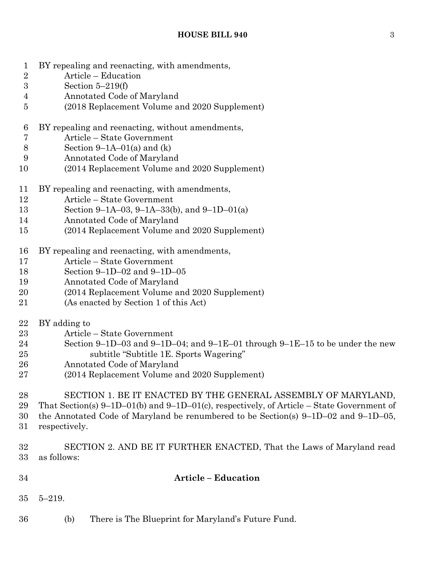- BY repealing and reenacting, with amendments,
- Article Education
- Section 5–219(f)
- Annotated Code of Maryland
- (2018 Replacement Volume and 2020 Supplement)
- BY repealing and reenacting, without amendments,
- Article State Government
- 8 Section 9–1A–01(a) and  $(k)$
- Annotated Code of Maryland
- (2014 Replacement Volume and 2020 Supplement)
- BY repealing and reenacting, with amendments,
- Article State Government
- Section 9–1A–03, 9–1A–33(b), and 9–1D–01(a)
- Annotated Code of Maryland
- (2014 Replacement Volume and 2020 Supplement)
- BY repealing and reenacting, with amendments,
- Article State Government
- Section 9–1D–02 and 9–1D–05
- Annotated Code of Maryland
- (2014 Replacement Volume and 2020 Supplement)
- (As enacted by Section 1 of this Act)
- BY adding to
- Article State Government
- Section 9–1D–03 and 9–1D–04; and 9–1E–01 through 9–1E–15 to be under the new subtitle "Subtitle 1E. Sports Wagering"
- Annotated Code of Maryland
- (2014 Replacement Volume and 2020 Supplement)

 SECTION 1. BE IT ENACTED BY THE GENERAL ASSEMBLY OF MARYLAND, That Section(s) 9–1D–01(b) and 9–1D–01(c), respectively, of Article – State Government of the Annotated Code of Maryland be renumbered to be Section(s) 9–1D–02 and 9–1D–05, respectively.

- SECTION 2. AND BE IT FURTHER ENACTED, That the Laws of Maryland read as follows:
- **Article – Education**
- 5–219.
- (b) There is The Blueprint for Maryland's Future Fund.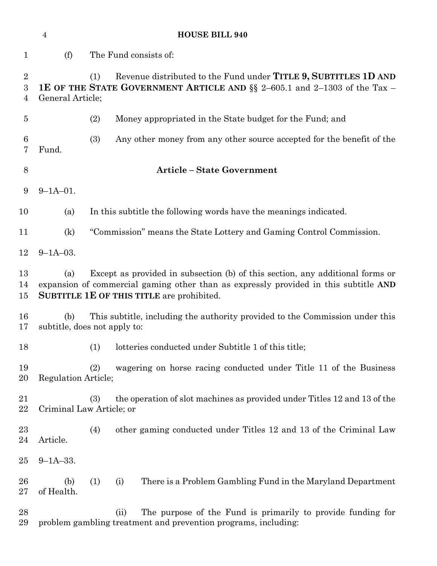| $\overline{4}$           |                                                                                                                     | <b>HOUSE BILL 940</b>                                                                                                                                                                                              |  |  |  |  |  |
|--------------------------|---------------------------------------------------------------------------------------------------------------------|--------------------------------------------------------------------------------------------------------------------------------------------------------------------------------------------------------------------|--|--|--|--|--|
| $\mathbf 1$              | (f)                                                                                                                 | The Fund consists of:                                                                                                                                                                                              |  |  |  |  |  |
| $\overline{2}$<br>3<br>4 |                                                                                                                     | Revenue distributed to the Fund under TITLE 9, SUBTITLES 1D AND<br>(1)<br><b>1E OF THE STATE GOVERNMENT ARTICLE AND §§</b> 2–605.1 and 2–1303 of the Tax –<br>General Article;                                     |  |  |  |  |  |
| $\overline{5}$           |                                                                                                                     | (2)<br>Money appropriated in the State budget for the Fund; and                                                                                                                                                    |  |  |  |  |  |
| 6<br>7                   | Fund.                                                                                                               | (3)<br>Any other money from any other source accepted for the benefit of the                                                                                                                                       |  |  |  |  |  |
| 8                        |                                                                                                                     | <b>Article - State Government</b>                                                                                                                                                                                  |  |  |  |  |  |
| 9                        | $9 - 1A - 01$ .                                                                                                     |                                                                                                                                                                                                                    |  |  |  |  |  |
| 10                       | (a)                                                                                                                 | In this subtitle the following words have the meanings indicated.                                                                                                                                                  |  |  |  |  |  |
| 11                       | (k)                                                                                                                 | "Commission" means the State Lottery and Gaming Control Commission.                                                                                                                                                |  |  |  |  |  |
| 12                       | $9 - 1A - 03$ .                                                                                                     |                                                                                                                                                                                                                    |  |  |  |  |  |
| 13<br>14<br>15           | (a)                                                                                                                 | Except as provided in subsection (b) of this section, any additional forms or<br>expansion of commercial gaming other than as expressly provided in this subtitle AND<br>SUBTITLE 1E OF THIS TITLE are prohibited. |  |  |  |  |  |
| 16<br>17                 | This subtitle, including the authority provided to the Commission under this<br>(b)<br>subtitle, does not apply to: |                                                                                                                                                                                                                    |  |  |  |  |  |
| 18                       |                                                                                                                     | lotteries conducted under Subtitle 1 of this title;<br>(1)                                                                                                                                                         |  |  |  |  |  |
| 19<br>20                 | Regulation Article;                                                                                                 | wagering on horse racing conducted under Title 11 of the Business<br>(2)                                                                                                                                           |  |  |  |  |  |
| 21<br>22                 |                                                                                                                     | the operation of slot machines as provided under Titles 12 and 13 of the<br>(3)<br>Criminal Law Article; or                                                                                                        |  |  |  |  |  |
| 23<br>24                 | Article.                                                                                                            | (4)<br>other gaming conducted under Titles 12 and 13 of the Criminal Law                                                                                                                                           |  |  |  |  |  |
| $25\,$                   | $9 - 1A - 33.$                                                                                                      |                                                                                                                                                                                                                    |  |  |  |  |  |
| 26<br>$27\,$             | (b)<br>of Health.                                                                                                   | (1)<br>(i)<br>There is a Problem Gambling Fund in the Maryland Department                                                                                                                                          |  |  |  |  |  |
| 28<br>29                 |                                                                                                                     | The purpose of the Fund is primarily to provide funding for<br>(ii)<br>problem gambling treatment and prevention programs, including:                                                                              |  |  |  |  |  |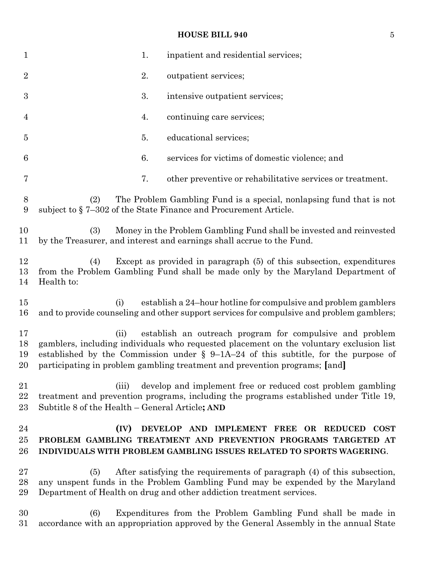# **HOUSE BILL 940** 5

| $\mathbf 1$          | inpatient and residential services;<br>1.                                                                                                                                                                                                                                                                                          |
|----------------------|------------------------------------------------------------------------------------------------------------------------------------------------------------------------------------------------------------------------------------------------------------------------------------------------------------------------------------|
| $\overline{2}$       | 2.<br>outpatient services;                                                                                                                                                                                                                                                                                                         |
| $\boldsymbol{3}$     | 3.<br>intensive outpatient services;                                                                                                                                                                                                                                                                                               |
| $\overline{4}$       | 4.<br>continuing care services;                                                                                                                                                                                                                                                                                                    |
| $\overline{5}$       | educational services;<br>5.                                                                                                                                                                                                                                                                                                        |
| 6                    | 6.<br>services for victims of domestic violence; and                                                                                                                                                                                                                                                                               |
| 7                    | 7.<br>other preventive or rehabilitative services or treatment.                                                                                                                                                                                                                                                                    |
| $8\,$<br>9           | The Problem Gambling Fund is a special, nonlapsing fund that is not<br>(2)<br>subject to §7–302 of the State Finance and Procurement Article.                                                                                                                                                                                      |
| 10<br>11             | Money in the Problem Gambling Fund shall be invested and reinvested<br>(3)<br>by the Treasurer, and interest and earnings shall accrue to the Fund.                                                                                                                                                                                |
| 12<br>13<br>14       | Except as provided in paragraph (5) of this subsection, expenditures<br>(4)<br>from the Problem Gambling Fund shall be made only by the Maryland Department of<br>Health to:                                                                                                                                                       |
| 15<br>16             | establish a 24-hour hotline for compulsive and problem gamblers<br>(i)<br>and to provide counseling and other support services for compulsive and problem gamblers;                                                                                                                                                                |
| 17<br>18<br>19<br>20 | establish an outreach program for compulsive and problem<br>(ii)<br>gamblers, including individuals who requested placement on the voluntary exclusion list<br>established by the Commission under $\S$ 9-1A-24 of this subtitle, for the purpose of<br>participating in problem gambling treatment and prevention programs; [and] |
| 21<br>22<br>23       | develop and implement free or reduced cost problem gambling<br>(iii)<br>treatment and prevention programs, including the programs established under Title 19,<br>Subtitle 8 of the Health - General Article; AND                                                                                                                   |
| 24<br>25<br>26       | (IV)<br>DEVELOP AND IMPLEMENT FREE OR REDUCED COST<br>PROBLEM GAMBLING TREATMENT AND PREVENTION PROGRAMS TARGETED AT<br>INDIVIDUALS WITH PROBLEM GAMBLING ISSUES RELATED TO SPORTS WAGERING.                                                                                                                                       |
| 27<br>28<br>29       | After satisfying the requirements of paragraph (4) of this subsection,<br>(5)<br>any unspent funds in the Problem Gambling Fund may be expended by the Maryland<br>Department of Health on drug and other addiction treatment services.                                                                                            |
| 30<br>31             | (6)<br>Expenditures from the Problem Gambling Fund shall be made in<br>accordance with an appropriation approved by the General Assembly in the annual State                                                                                                                                                                       |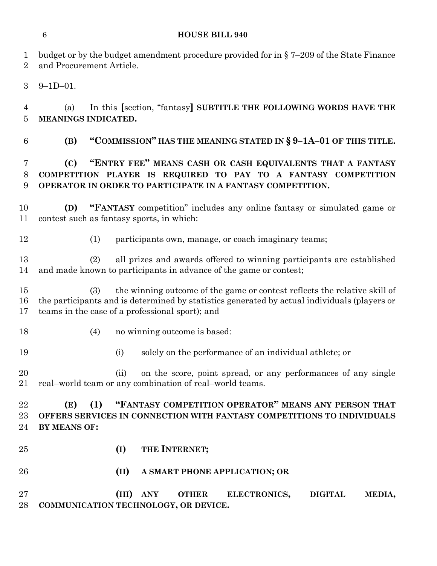budget or by the budget amendment procedure provided for in § 7–209 of the State Finance and Procurement Article. 9–1D–01.

 (a) In this **[**section, "fantasy**] SUBTITLE THE FOLLOWING WORDS HAVE THE MEANINGS INDICATED.**

**(B) "COMMISSION" HAS THE MEANING STATED IN § 9–1A–01 OF THIS TITLE.**

# **(C) "ENTRY FEE" MEANS CASH OR CASH EQUIVALENTS THAT A FANTASY COMPETITION PLAYER IS REQUIRED TO PAY TO A FANTASY COMPETITION OPERATOR IN ORDER TO PARTICIPATE IN A FANTASY COMPETITION.**

 **(D) "FANTASY** competition" includes any online fantasy or simulated game or contest such as fantasy sports, in which:

(1) participants own, manage, or coach imaginary teams;

 (2) all prizes and awards offered to winning participants are established and made known to participants in advance of the game or contest;

 (3) the winning outcome of the game or contest reflects the relative skill of the participants and is determined by statistics generated by actual individuals (players or teams in the case of a professional sport); and

- 
- 18 (4) no winning outcome is based:
- (i) solely on the performance of an individual athlete; or

 (ii) on the score, point spread, or any performances of any single real–world team or any combination of real–world teams.

 **(E) (1) "FANTASY COMPETITION OPERATOR" MEANS ANY PERSON THAT OFFERS SERVICES IN CONNECTION WITH FANTASY COMPETITIONS TO INDIVIDUALS BY MEANS OF:**

- 
- **(I) THE INTERNET;**
- **(II) A SMART PHONE APPLICATION; OR**
- **(III) ANY OTHER ELECTRONICS, DIGITAL MEDIA, COMMUNICATION TECHNOLOGY, OR DEVICE.**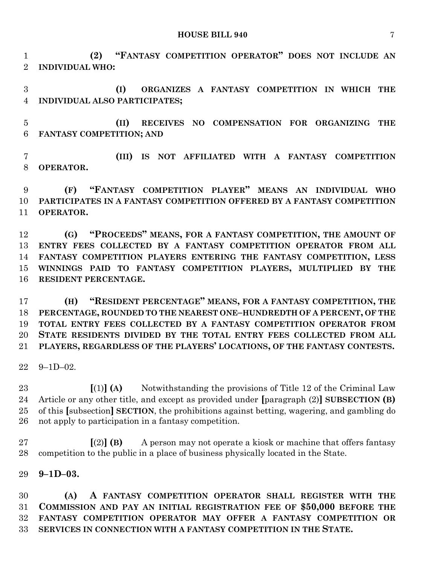**HOUSE BILL 940** 7

 **(2) "FANTASY COMPETITION OPERATOR" DOES NOT INCLUDE AN INDIVIDUAL WHO:**

 **(I) ORGANIZES A FANTASY COMPETITION IN WHICH THE INDIVIDUAL ALSO PARTICIPATES;**

 **(II) RECEIVES NO COMPENSATION FOR ORGANIZING THE FANTASY COMPETITION; AND** 

 **(III) IS NOT AFFILIATED WITH A FANTASY COMPETITION OPERATOR.**

 **(F) "FANTASY COMPETITION PLAYER" MEANS AN INDIVIDUAL WHO PARTICIPATES IN A FANTASY COMPETITION OFFERED BY A FANTASY COMPETITION OPERATOR.**

 **(G) "PROCEEDS" MEANS, FOR A FANTASY COMPETITION, THE AMOUNT OF ENTRY FEES COLLECTED BY A FANTASY COMPETITION OPERATOR FROM ALL FANTASY COMPETITION PLAYERS ENTERING THE FANTASY COMPETITION, LESS WINNINGS PAID TO FANTASY COMPETITION PLAYERS, MULTIPLIED BY THE RESIDENT PERCENTAGE.**

 **(H) "RESIDENT PERCENTAGE" MEANS, FOR A FANTASY COMPETITION, THE PERCENTAGE, ROUNDED TO THE NEAREST ONE–HUNDREDTH OF A PERCENT, OF THE TOTAL ENTRY FEES COLLECTED BY A FANTASY COMPETITION OPERATOR FROM STATE RESIDENTS DIVIDED BY THE TOTAL ENTRY FEES COLLECTED FROM ALL PLAYERS, REGARDLESS OF THE PLAYERS' LOCATIONS, OF THE FANTASY CONTESTS.**

9–1D–02.

 **[**(1)**] (A)** Notwithstanding the provisions of Title 12 of the Criminal Law Article or any other title, and except as provided under **[**paragraph (2)**] SUBSECTION (B)** of this **[**subsection**] SECTION**, the prohibitions against betting, wagering, and gambling do not apply to participation in a fantasy competition.

 **[**(2)**] (B)** A person may not operate a kiosk or machine that offers fantasy competition to the public in a place of business physically located in the State.

**9–1D–03.**

 **(A) A FANTASY COMPETITION OPERATOR SHALL REGISTER WITH THE COMMISSION AND PAY AN INITIAL REGISTRATION FEE OF \$50,000 BEFORE THE FANTASY COMPETITION OPERATOR MAY OFFER A FANTASY COMPETITION OR SERVICES IN CONNECTION WITH A FANTASY COMPETITION IN THE STATE.**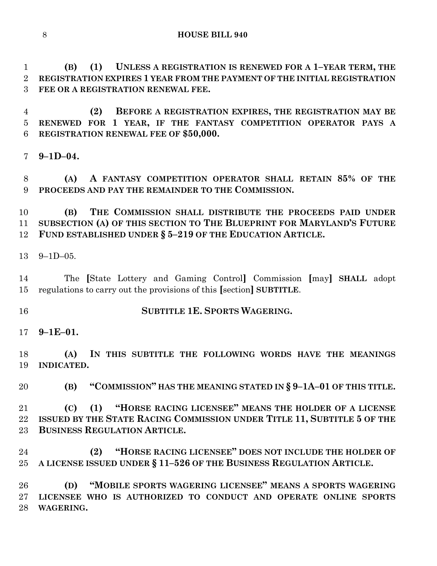**(B) (1) UNLESS A REGISTRATION IS RENEWED FOR A 1–YEAR TERM, THE REGISTRATION EXPIRES 1 YEAR FROM THE PAYMENT OF THE INITIAL REGISTRATION FEE OR A REGISTRATION RENEWAL FEE.**

 **(2) BEFORE A REGISTRATION EXPIRES, THE REGISTRATION MAY BE RENEWED FOR 1 YEAR, IF THE FANTASY COMPETITION OPERATOR PAYS A REGISTRATION RENEWAL FEE OF \$50,000.**

**9–1D–04.**

 **(A) A FANTASY COMPETITION OPERATOR SHALL RETAIN 85% OF THE PROCEEDS AND PAY THE REMAINDER TO THE COMMISSION.**

 **(B) THE COMMISSION SHALL DISTRIBUTE THE PROCEEDS PAID UNDER SUBSECTION (A) OF THIS SECTION TO THE BLUEPRINT FOR MARYLAND'S FUTURE FUND ESTABLISHED UNDER § 5–219 OF THE EDUCATION ARTICLE.**

9–1D–05.

 The **[**State Lottery and Gaming Control**]** Commission **[**may**] SHALL** adopt regulations to carry out the provisions of this **[**section**] SUBTITLE**.

- **SUBTITLE 1E. SPORTS WAGERING.**
- **9–1E–01.**

 **(A) IN THIS SUBTITLE THE FOLLOWING WORDS HAVE THE MEANINGS INDICATED.**

**(B) "COMMISSION" HAS THE MEANING STATED IN § 9–1A–01 OF THIS TITLE.**

 **(C) (1) "HORSE RACING LICENSEE" MEANS THE HOLDER OF A LICENSE ISSUED BY THE STATE RACING COMMISSION UNDER TITLE 11, SUBTITLE 5 OF THE BUSINESS REGULATION ARTICLE.**

 **(2) "HORSE RACING LICENSEE" DOES NOT INCLUDE THE HOLDER OF A LICENSE ISSUED UNDER § 11–526 OF THE BUSINESS REGULATION ARTICLE.**

 **(D) "MOBILE SPORTS WAGERING LICENSEE" MEANS A SPORTS WAGERING LICENSEE WHO IS AUTHORIZED TO CONDUCT AND OPERATE ONLINE SPORTS WAGERING.**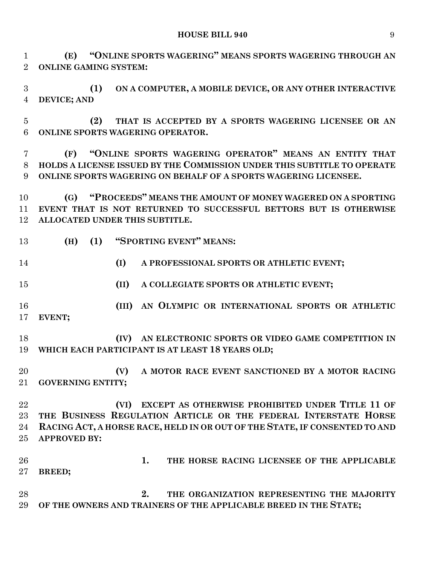#### **HOUSE BILL 940** 9

 **(E) "ONLINE SPORTS WAGERING" MEANS SPORTS WAGERING THROUGH AN ONLINE GAMING SYSTEM:**

 **(1) ON A COMPUTER, A MOBILE DEVICE, OR ANY OTHER INTERACTIVE DEVICE; AND**

 **(2) THAT IS ACCEPTED BY A SPORTS WAGERING LICENSEE OR AN ONLINE SPORTS WAGERING OPERATOR.**

 **(F) "ONLINE SPORTS WAGERING OPERATOR" MEANS AN ENTITY THAT HOLDS A LICENSE ISSUED BY THE COMMISSION UNDER THIS SUBTITLE TO OPERATE ONLINE SPORTS WAGERING ON BEHALF OF A SPORTS WAGERING LICENSEE.**

 **(G) "PROCEEDS" MEANS THE AMOUNT OF MONEY WAGERED ON A SPORTING EVENT THAT IS NOT RETURNED TO SUCCESSFUL BETTORS BUT IS OTHERWISE ALLOCATED UNDER THIS SUBTITLE.**

**(H) (1) "SPORTING EVENT" MEANS:**

**(I) A PROFESSIONAL SPORTS OR ATHLETIC EVENT;**

**(II) A COLLEGIATE SPORTS OR ATHLETIC EVENT;**

 **(III) AN OLYMPIC OR INTERNATIONAL SPORTS OR ATHLETIC EVENT;**

 **(IV) AN ELECTRONIC SPORTS OR VIDEO GAME COMPETITION IN WHICH EACH PARTICIPANT IS AT LEAST 18 YEARS OLD;**

 **(V) A MOTOR RACE EVENT SANCTIONED BY A MOTOR RACING GOVERNING ENTITY;**

 **(VI) EXCEPT AS OTHERWISE PROHIBITED UNDER TITLE 11 OF THE BUSINESS REGULATION ARTICLE OR THE FEDERAL INTERSTATE HORSE RACING ACT, A HORSE RACE, HELD IN OR OUT OF THE STATE, IF CONSENTED TO AND APPROVED BY:**

 **1. THE HORSE RACING LICENSEE OF THE APPLICABLE BREED;**

 **2. THE ORGANIZATION REPRESENTING THE MAJORITY OF THE OWNERS AND TRAINERS OF THE APPLICABLE BREED IN THE STATE;**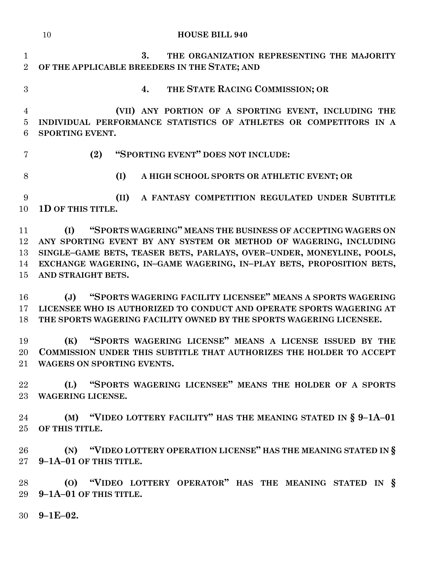|                                       | <b>HOUSE BILL 940</b><br>10                                                                                                                                                                                                                                                                                    |
|---------------------------------------|----------------------------------------------------------------------------------------------------------------------------------------------------------------------------------------------------------------------------------------------------------------------------------------------------------------|
| $\mathbf{1}$<br>$\overline{2}$        | 3.<br>THE ORGANIZATION REPRESENTING THE MAJORITY<br>OF THE APPLICABLE BREEDERS IN THE STATE; AND                                                                                                                                                                                                               |
| 3                                     | THE STATE RACING COMMISSION; OR<br>4.                                                                                                                                                                                                                                                                          |
| $\overline{4}$<br>$\overline{5}$<br>6 | (VII) ANY PORTION OF A SPORTING EVENT, INCLUDING THE<br>INDIVIDUAL PERFORMANCE STATISTICS OF ATHLETES OR COMPETITORS IN A<br>SPORTING EVENT.                                                                                                                                                                   |
| 7                                     | "SPORTING EVENT" DOES NOT INCLUDE:<br>(2)                                                                                                                                                                                                                                                                      |
| 8                                     | (I)<br>A HIGH SCHOOL SPORTS OR ATHLETIC EVENT; OR                                                                                                                                                                                                                                                              |
| 9<br>10                               | A FANTASY COMPETITION REGULATED UNDER SUBTITLE<br>(II)<br>1D OF THIS TITLE.                                                                                                                                                                                                                                    |
| 11<br>12<br>13<br>14<br>15            | "SPORTS WAGERING" MEANS THE BUSINESS OF ACCEPTING WAGERS ON<br>(I)<br>ANY SPORTING EVENT BY ANY SYSTEM OR METHOD OF WAGERING, INCLUDING<br>SINGLE-GAME BETS, TEASER BETS, PARLAYS, OVER-UNDER, MONEYLINE, POOLS,<br>EXCHANGE WAGERING, IN-GAME WAGERING, IN-PLAY BETS, PROPOSITION BETS,<br>AND STRAIGHT BETS. |
| 16<br>17<br>18                        | "SPORTS WAGERING FACILITY LICENSEE" MEANS A SPORTS WAGERING<br>(J)<br>LICENSEE WHO IS AUTHORIZED TO CONDUCT AND OPERATE SPORTS WAGERING AT<br>THE SPORTS WAGERING FACILITY OWNED BY THE SPORTS WAGERING LICENSEE.                                                                                              |
| 19                                    | "SPORTS WAGERING LICENSE" MEANS A LICENSE ISSUED BY THE<br>(K)<br>20 COMMISSION UNDER THIS SUBTITLE THAT AUTHORIZES THE HOLDER TO ACCEPT<br>21 WAGERS ON SPORTING EVENTS.                                                                                                                                      |
| 22                                    | (L) "SPORTS WAGERING LICENSEE" MEANS THE HOLDER OF A SPORTS<br>23 WAGERING LICENSE.                                                                                                                                                                                                                            |
| 24                                    | (M) "VIDEO LOTTERY FACILITY" HAS THE MEANING STATED IN § 9-1A-01<br>25 OF THIS TITLE.                                                                                                                                                                                                                          |
| $26\,$                                | (N) "VIDEO LOTTERY OPERATION LICENSE" HAS THE MEANING STATED IN §<br>27 9-1A-01 OF THIS TITLE.                                                                                                                                                                                                                 |
| 28<br>29                              | (O) "VIDEO LOTTERY OPERATOR" HAS THE MEANING STATED IN §<br>9-1A-01 OF THIS TITLE.                                                                                                                                                                                                                             |
|                                       | $30\quad 9-1E-02.$                                                                                                                                                                                                                                                                                             |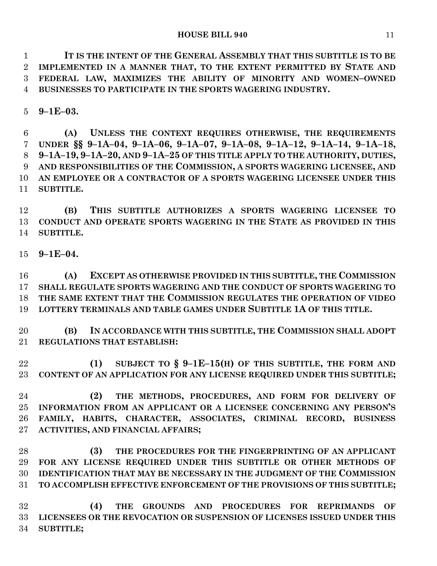**IT IS THE INTENT OF THE GENERAL ASSEMBLY THAT THIS SUBTITLE IS TO BE IMPLEMENTED IN A MANNER THAT, TO THE EXTENT PERMITTED BY STATE AND FEDERAL LAW, MAXIMIZES THE ABILITY OF MINORITY AND WOMEN–OWNED BUSINESSES TO PARTICIPATE IN THE SPORTS WAGERING INDUSTRY.**

**9–1E–03.**

 **(A) UNLESS THE CONTEXT REQUIRES OTHERWISE, THE REQUIREMENTS**  7 UNDER §§ 9-1A-04, 9-1A-06, 9-1A-07, 9-1A-08, 9-1A-12, 9-1A-14, 9-1A-18, **9–1A–19, 9–1A–20, AND 9–1A–25 OF THIS TITLE APPLY TO THE AUTHORITY, DUTIES, AND RESPONSIBILITIES OF THE COMMISSION, A SPORTS WAGERING LICENSEE, AND AN EMPLOYEE OR A CONTRACTOR OF A SPORTS WAGERING LICENSEE UNDER THIS SUBTITLE.**

 **(B) THIS SUBTITLE AUTHORIZES A SPORTS WAGERING LICENSEE TO CONDUCT AND OPERATE SPORTS WAGERING IN THE STATE AS PROVIDED IN THIS SUBTITLE.**

**9–1E–04.**

 **(A) EXCEPT AS OTHERWISE PROVIDED IN THIS SUBTITLE, THE COMMISSION SHALL REGULATE SPORTS WAGERING AND THE CONDUCT OF SPORTS WAGERING TO THE SAME EXTENT THAT THE COMMISSION REGULATES THE OPERATION OF VIDEO LOTTERY TERMINALS AND TABLE GAMES UNDER SUBTITLE 1A OF THIS TITLE.**

 **(B) IN ACCORDANCE WITH THIS SUBTITLE, THE COMMISSION SHALL ADOPT REGULATIONS THAT ESTABLISH:**

 **(1) SUBJECT TO § 9–1E–15(H) OF THIS SUBTITLE, THE FORM AND CONTENT OF AN APPLICATION FOR ANY LICENSE REQUIRED UNDER THIS SUBTITLE;**

 **(2) THE METHODS, PROCEDURES, AND FORM FOR DELIVERY OF INFORMATION FROM AN APPLICANT OR A LICENSEE CONCERNING ANY PERSON'S FAMILY, HABITS, CHARACTER, ASSOCIATES, CRIMINAL RECORD, BUSINESS ACTIVITIES, AND FINANCIAL AFFAIRS;**

 **(3) THE PROCEDURES FOR THE FINGERPRINTING OF AN APPLICANT FOR ANY LICENSE REQUIRED UNDER THIS SUBTITLE OR OTHER METHODS OF IDENTIFICATION THAT MAY BE NECESSARY IN THE JUDGMENT OF THE COMMISSION TO ACCOMPLISH EFFECTIVE ENFORCEMENT OF THE PROVISIONS OF THIS SUBTITLE;**

 **(4) THE GROUNDS AND PROCEDURES FOR REPRIMANDS OF LICENSEES OR THE REVOCATION OR SUSPENSION OF LICENSES ISSUED UNDER THIS SUBTITLE;**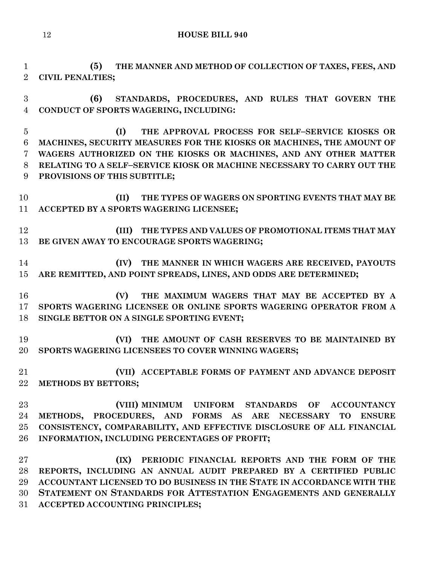```
12 HOUSE BILL 940
```
 **(5) THE MANNER AND METHOD OF COLLECTION OF TAXES, FEES, AND CIVIL PENALTIES;**

 **(6) STANDARDS, PROCEDURES, AND RULES THAT GOVERN THE CONDUCT OF SPORTS WAGERING, INCLUDING:**

 **(I) THE APPROVAL PROCESS FOR SELF–SERVICE KIOSKS OR MACHINES, SECURITY MEASURES FOR THE KIOSKS OR MACHINES, THE AMOUNT OF WAGERS AUTHORIZED ON THE KIOSKS OR MACHINES, AND ANY OTHER MATTER RELATING TO A SELF–SERVICE KIOSK OR MACHINE NECESSARY TO CARRY OUT THE PROVISIONS OF THIS SUBTITLE;**

 **(II) THE TYPES OF WAGERS ON SPORTING EVENTS THAT MAY BE ACCEPTED BY A SPORTS WAGERING LICENSEE;**

 **(III) THE TYPES AND VALUES OF PROMOTIONAL ITEMS THAT MAY BE GIVEN AWAY TO ENCOURAGE SPORTS WAGERING;**

 **(IV) THE MANNER IN WHICH WAGERS ARE RECEIVED, PAYOUTS ARE REMITTED, AND POINT SPREADS, LINES, AND ODDS ARE DETERMINED;**

 **(V) THE MAXIMUM WAGERS THAT MAY BE ACCEPTED BY A SPORTS WAGERING LICENSEE OR ONLINE SPORTS WAGERING OPERATOR FROM A SINGLE BETTOR ON A SINGLE SPORTING EVENT;**

 **(VI) THE AMOUNT OF CASH RESERVES TO BE MAINTAINED BY SPORTS WAGERING LICENSEES TO COVER WINNING WAGERS;**

 **(VII) ACCEPTABLE FORMS OF PAYMENT AND ADVANCE DEPOSIT METHODS BY BETTORS;**

 **(VIII) MINIMUM UNIFORM STANDARDS OF ACCOUNTANCY METHODS, PROCEDURES, AND FORMS AS ARE NECESSARY TO ENSURE CONSISTENCY, COMPARABILITY, AND EFFECTIVE DISCLOSURE OF ALL FINANCIAL INFORMATION, INCLUDING PERCENTAGES OF PROFIT;**

 **(IX) PERIODIC FINANCIAL REPORTS AND THE FORM OF THE REPORTS, INCLUDING AN ANNUAL AUDIT PREPARED BY A CERTIFIED PUBLIC ACCOUNTANT LICENSED TO DO BUSINESS IN THE STATE IN ACCORDANCE WITH THE STATEMENT ON STANDARDS FOR ATTESTATION ENGAGEMENTS AND GENERALLY ACCEPTED ACCOUNTING PRINCIPLES;**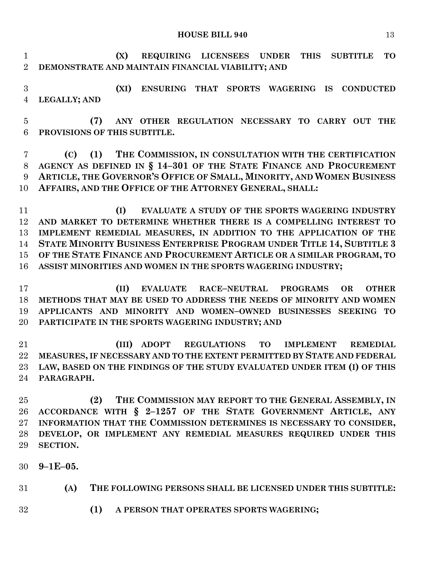**HOUSE BILL 940** 13

 **(X) REQUIRING LICENSEES UNDER THIS SUBTITLE TO DEMONSTRATE AND MAINTAIN FINANCIAL VIABILITY; AND**

 **(XI) ENSURING THAT SPORTS WAGERING IS CONDUCTED LEGALLY; AND**

 **(7) ANY OTHER REGULATION NECESSARY TO CARRY OUT THE PROVISIONS OF THIS SUBTITLE.**

 **(C) (1) THE COMMISSION, IN CONSULTATION WITH THE CERTIFICATION AGENCY AS DEFINED IN § 14–301 OF THE STATE FINANCE AND PROCUREMENT ARTICLE, THE GOVERNOR'S OFFICE OF SMALL, MINORITY, AND WOMEN BUSINESS AFFAIRS, AND THE OFFICE OF THE ATTORNEY GENERAL, SHALL:**

 **(I) EVALUATE A STUDY OF THE SPORTS WAGERING INDUSTRY AND MARKET TO DETERMINE WHETHER THERE IS A COMPELLING INTEREST TO IMPLEMENT REMEDIAL MEASURES, IN ADDITION TO THE APPLICATION OF THE STATE MINORITY BUSINESS ENTERPRISE PROGRAM UNDER TITLE 14, SUBTITLE 3 OF THE STATE FINANCE AND PROCUREMENT ARTICLE OR A SIMILAR PROGRAM, TO ASSIST MINORITIES AND WOMEN IN THE SPORTS WAGERING INDUSTRY;**

 **(II) EVALUATE RACE–NEUTRAL PROGRAMS OR OTHER METHODS THAT MAY BE USED TO ADDRESS THE NEEDS OF MINORITY AND WOMEN APPLICANTS AND MINORITY AND WOMEN–OWNED BUSINESSES SEEKING TO PARTICIPATE IN THE SPORTS WAGERING INDUSTRY; AND**

 **(III) ADOPT REGULATIONS TO IMPLEMENT REMEDIAL MEASURES, IF NECESSARY AND TO THE EXTENT PERMITTED BY STATE AND FEDERAL LAW, BASED ON THE FINDINGS OF THE STUDY EVALUATED UNDER ITEM (I) OF THIS PARAGRAPH.**

 **(2) THE COMMISSION MAY REPORT TO THE GENERAL ASSEMBLY, IN ACCORDANCE WITH § 2–1257 OF THE STATE GOVERNMENT ARTICLE, ANY INFORMATION THAT THE COMMISSION DETERMINES IS NECESSARY TO CONSIDER, DEVELOP, OR IMPLEMENT ANY REMEDIAL MEASURES REQUIRED UNDER THIS SECTION.**

**9–1E–05.**

**(A) THE FOLLOWING PERSONS SHALL BE LICENSED UNDER THIS SUBTITLE:**

**(1) A PERSON THAT OPERATES SPORTS WAGERING;**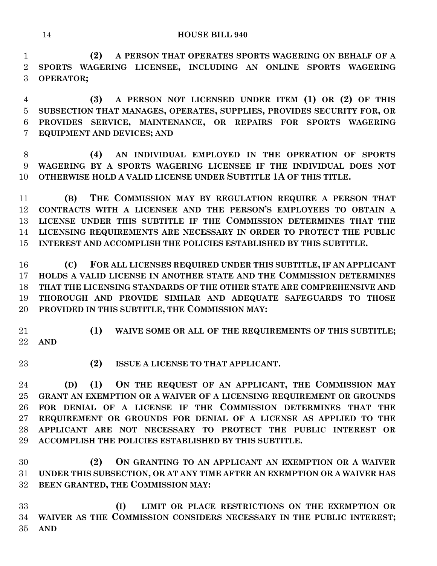**(2) A PERSON THAT OPERATES SPORTS WAGERING ON BEHALF OF A SPORTS WAGERING LICENSEE, INCLUDING AN ONLINE SPORTS WAGERING OPERATOR;**

 **(3) A PERSON NOT LICENSED UNDER ITEM (1) OR (2) OF THIS SUBSECTION THAT MANAGES, OPERATES, SUPPLIES, PROVIDES SECURITY FOR, OR PROVIDES SERVICE, MAINTENANCE, OR REPAIRS FOR SPORTS WAGERING EQUIPMENT AND DEVICES; AND**

 **(4) AN INDIVIDUAL EMPLOYED IN THE OPERATION OF SPORTS WAGERING BY A SPORTS WAGERING LICENSEE IF THE INDIVIDUAL DOES NOT OTHERWISE HOLD A VALID LICENSE UNDER SUBTITLE 1A OF THIS TITLE.**

 **(B) THE COMMISSION MAY BY REGULATION REQUIRE A PERSON THAT CONTRACTS WITH A LICENSEE AND THE PERSON'S EMPLOYEES TO OBTAIN A LICENSE UNDER THIS SUBTITLE IF THE COMMISSION DETERMINES THAT THE LICENSING REQUIREMENTS ARE NECESSARY IN ORDER TO PROTECT THE PUBLIC INTEREST AND ACCOMPLISH THE POLICIES ESTABLISHED BY THIS SUBTITLE.**

 **(C) FOR ALL LICENSES REQUIRED UNDER THIS SUBTITLE, IF AN APPLICANT HOLDS A VALID LICENSE IN ANOTHER STATE AND THE COMMISSION DETERMINES THAT THE LICENSING STANDARDS OF THE OTHER STATE ARE COMPREHENSIVE AND THOROUGH AND PROVIDE SIMILAR AND ADEQUATE SAFEGUARDS TO THOSE PROVIDED IN THIS SUBTITLE, THE COMMISSION MAY:**

 **(1) WAIVE SOME OR ALL OF THE REQUIREMENTS OF THIS SUBTITLE; AND**

- 
- **(2) ISSUE A LICENSE TO THAT APPLICANT.**

 **(D) (1) ON THE REQUEST OF AN APPLICANT, THE COMMISSION MAY GRANT AN EXEMPTION OR A WAIVER OF A LICENSING REQUIREMENT OR GROUNDS FOR DENIAL OF A LICENSE IF THE COMMISSION DETERMINES THAT THE REQUIREMENT OR GROUNDS FOR DENIAL OF A LICENSE AS APPLIED TO THE APPLICANT ARE NOT NECESSARY TO PROTECT THE PUBLIC INTEREST OR ACCOMPLISH THE POLICIES ESTABLISHED BY THIS SUBTITLE.**

 **(2) ON GRANTING TO AN APPLICANT AN EXEMPTION OR A WAIVER UNDER THIS SUBSECTION, OR AT ANY TIME AFTER AN EXEMPTION OR A WAIVER HAS BEEN GRANTED, THE COMMISSION MAY:**

 **(I) LIMIT OR PLACE RESTRICTIONS ON THE EXEMPTION OR WAIVER AS THE COMMISSION CONSIDERS NECESSARY IN THE PUBLIC INTEREST; AND**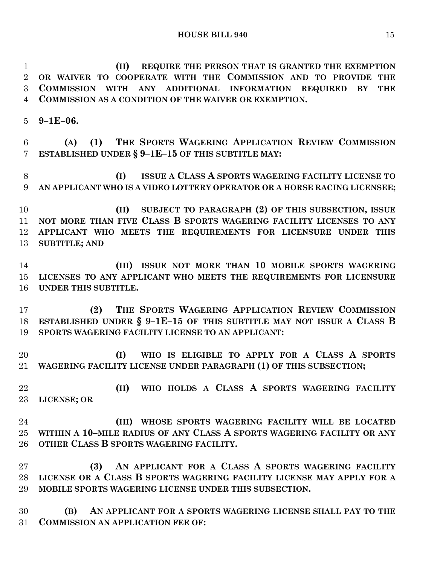**(II) REQUIRE THE PERSON THAT IS GRANTED THE EXEMPTION OR WAIVER TO COOPERATE WITH THE COMMISSION AND TO PROVIDE THE COMMISSION WITH ANY ADDITIONAL INFORMATION REQUIRED BY THE COMMISSION AS A CONDITION OF THE WAIVER OR EXEMPTION.**

**9–1E–06.**

 **(A) (1) THE SPORTS WAGERING APPLICATION REVIEW COMMISSION ESTABLISHED UNDER § 9–1E–15 OF THIS SUBTITLE MAY:**

 **(I) ISSUE A CLASS A SPORTS WAGERING FACILITY LICENSE TO AN APPLICANT WHO IS A VIDEO LOTTERY OPERATOR OR A HORSE RACING LICENSEE;**

 **(II) SUBJECT TO PARAGRAPH (2) OF THIS SUBSECTION, ISSUE NOT MORE THAN FIVE CLASS B SPORTS WAGERING FACILITY LICENSES TO ANY APPLICANT WHO MEETS THE REQUIREMENTS FOR LICENSURE UNDER THIS SUBTITLE; AND**

 **(III) ISSUE NOT MORE THAN 10 MOBILE SPORTS WAGERING LICENSES TO ANY APPLICANT WHO MEETS THE REQUIREMENTS FOR LICENSURE UNDER THIS SUBTITLE.**

 **(2) THE SPORTS WAGERING APPLICATION REVIEW COMMISSION ESTABLISHED UNDER § 9–1E–15 OF THIS SUBTITLE MAY NOT ISSUE A CLASS B SPORTS WAGERING FACILITY LICENSE TO AN APPLICANT:**

 **(I) WHO IS ELIGIBLE TO APPLY FOR A CLASS A SPORTS WAGERING FACILITY LICENSE UNDER PARAGRAPH (1) OF THIS SUBSECTION;**

 **(II) WHO HOLDS A CLASS A SPORTS WAGERING FACILITY LICENSE; OR**

 **(III) WHOSE SPORTS WAGERING FACILITY WILL BE LOCATED WITHIN A 10–MILE RADIUS OF ANY CLASS A SPORTS WAGERING FACILITY OR ANY OTHER CLASS B SPORTS WAGERING FACILITY.**

 **(3) AN APPLICANT FOR A CLASS A SPORTS WAGERING FACILITY LICENSE OR A CLASS B SPORTS WAGERING FACILITY LICENSE MAY APPLY FOR A MOBILE SPORTS WAGERING LICENSE UNDER THIS SUBSECTION.**

 **(B) AN APPLICANT FOR A SPORTS WAGERING LICENSE SHALL PAY TO THE COMMISSION AN APPLICATION FEE OF:**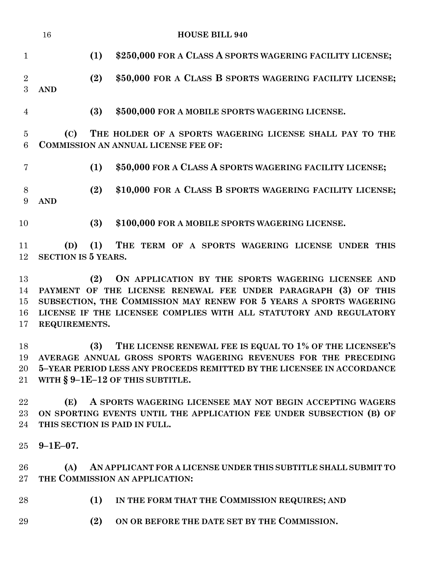|                                 | 16                                |     | <b>HOUSE BILL 940</b>                                                                                   |
|---------------------------------|-----------------------------------|-----|---------------------------------------------------------------------------------------------------------|
| 1                               |                                   | (1) | \$250,000 FOR A CLASS A SPORTS WAGERING FACILITY LICENSE;                                               |
| $\overline{2}$<br>$\mathcal{S}$ | <b>AND</b>                        | (2) | \$50,000 FOR A CLASS B SPORTS WAGERING FACILITY LICENSE;                                                |
| $\overline{4}$                  |                                   | (3) | \$500,000 FOR A MOBILE SPORTS WAGERING LICENSE.                                                         |
| 5<br>6                          | (C)                               |     | THE HOLDER OF A SPORTS WAGERING LICENSE SHALL PAY TO THE<br><b>COMMISSION AN ANNUAL LICENSE FEE OF:</b> |
| 7                               |                                   | (1) | \$50,000 FOR A CLASS A SPORTS WAGERING FACILITY LICENSE;                                                |
| 8<br>9                          | <b>AND</b>                        | (2) | \$10,000 FOR A CLASS B SPORTS WAGERING FACILITY LICENSE;                                                |
| 10                              |                                   | (3) | \$100,000 FOR A MOBILE SPORTS WAGERING LICENSE.                                                         |
| 11<br>12                        | (D)<br><b>SECTION IS 5 YEARS.</b> | (1) | THE TERM OF A SPORTS WAGERING LICENSE UNDER<br>THIS                                                     |
| 13                              |                                   | (2) | ON APPLICATION BY THE SPORTS WAGERING LICENSEE AND                                                      |

 **PAYMENT OF THE LICENSE RENEWAL FEE UNDER PARAGRAPH (3) OF THIS SUBSECTION, THE COMMISSION MAY RENEW FOR 5 YEARS A SPORTS WAGERING LICENSE IF THE LICENSEE COMPLIES WITH ALL STATUTORY AND REGULATORY REQUIREMENTS.**

 **(3) THE LICENSE RENEWAL FEE IS EQUAL TO 1% OF THE LICENSEE'S AVERAGE ANNUAL GROSS SPORTS WAGERING REVENUES FOR THE PRECEDING 5–YEAR PERIOD LESS ANY PROCEEDS REMITTED BY THE LICENSEE IN ACCORDANCE WITH § 9–1E–12 OF THIS SUBTITLE.**

 **(E) A SPORTS WAGERING LICENSEE MAY NOT BEGIN ACCEPTING WAGERS ON SPORTING EVENTS UNTIL THE APPLICATION FEE UNDER SUBSECTION (B) OF THIS SECTION IS PAID IN FULL.**

**9–1E–07.**

 **(A) AN APPLICANT FOR A LICENSE UNDER THIS SUBTITLE SHALL SUBMIT TO THE COMMISSION AN APPLICATION:**

- **(1) IN THE FORM THAT THE COMMISSION REQUIRES; AND**
- **(2) ON OR BEFORE THE DATE SET BY THE COMMISSION.**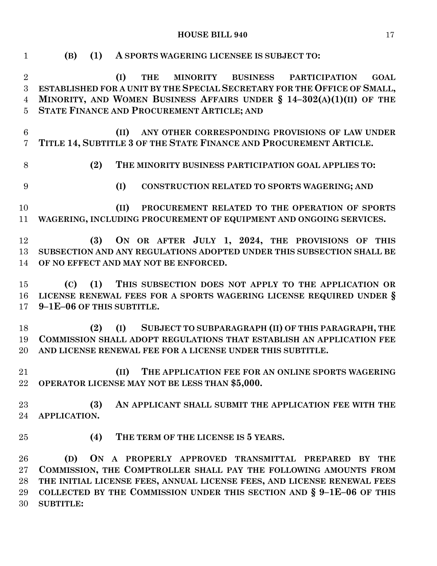**HOUSE BILL 940** 17

 **(B) (1) A SPORTS WAGERING LICENSEE IS SUBJECT TO: (I) THE MINORITY BUSINESS PARTICIPATION GOAL ESTABLISHED FOR A UNIT BY THE SPECIAL SECRETARY FOR THE OFFICE OF SMALL, MINORITY, AND WOMEN BUSINESS AFFAIRS UNDER § 14–302(A)(1)(II) OF THE STATE FINANCE AND PROCUREMENT ARTICLE; AND (II) ANY OTHER CORRESPONDING PROVISIONS OF LAW UNDER TITLE 14, SUBTITLE 3 OF THE STATE FINANCE AND PROCUREMENT ARTICLE. (2) THE MINORITY BUSINESS PARTICIPATION GOAL APPLIES TO: (I) CONSTRUCTION RELATED TO SPORTS WAGERING; AND (II) PROCUREMENT RELATED TO THE OPERATION OF SPORTS WAGERING, INCLUDING PROCUREMENT OF EQUIPMENT AND ONGOING SERVICES. (3) ON OR AFTER JULY 1, 2024, THE PROVISIONS OF THIS SUBSECTION AND ANY REGULATIONS ADOPTED UNDER THIS SUBSECTION SHALL BE OF NO EFFECT AND MAY NOT BE ENFORCED. (C) (1) THIS SUBSECTION DOES NOT APPLY TO THE APPLICATION OR LICENSE RENEWAL FEES FOR A SPORTS WAGERING LICENSE REQUIRED UNDER § 9–1E–06 OF THIS SUBTITLE. (2) (I) SUBJECT TO SUBPARAGRAPH (II) OF THIS PARAGRAPH, THE COMMISSION SHALL ADOPT REGULATIONS THAT ESTABLISH AN APPLICATION FEE AND LICENSE RENEWAL FEE FOR A LICENSE UNDER THIS SUBTITLE. (II) THE APPLICATION FEE FOR AN ONLINE SPORTS WAGERING OPERATOR LICENSE MAY NOT BE LESS THAN \$5,000. (3) AN APPLICANT SHALL SUBMIT THE APPLICATION FEE WITH THE APPLICATION. (4) THE TERM OF THE LICENSE IS 5 YEARS. (D) ON A PROPERLY APPROVED TRANSMITTAL PREPARED BY THE COMMISSION, THE COMPTROLLER SHALL PAY THE FOLLOWING AMOUNTS FROM THE INITIAL LICENSE FEES, ANNUAL LICENSE FEES, AND LICENSE RENEWAL FEES COLLECTED BY THE COMMISSION UNDER THIS SECTION AND § 9–1E–06 OF THIS SUBTITLE:**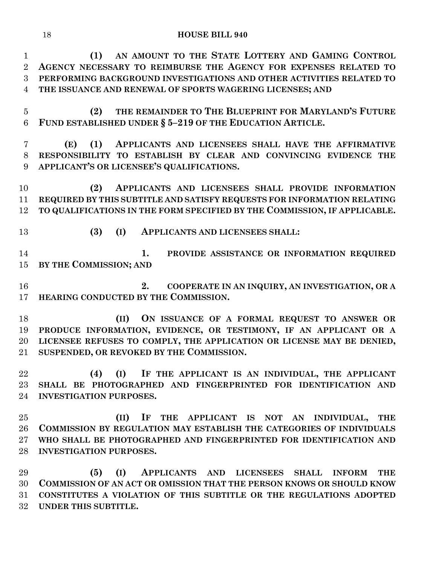**(1) AN AMOUNT TO THE STATE LOTTERY AND GAMING CONTROL AGENCY NECESSARY TO REIMBURSE THE AGENCY FOR EXPENSES RELATED TO PERFORMING BACKGROUND INVESTIGATIONS AND OTHER ACTIVITIES RELATED TO THE ISSUANCE AND RENEWAL OF SPORTS WAGERING LICENSES; AND**

 **(2) THE REMAINDER TO THE BLUEPRINT FOR MARYLAND'S FUTURE FUND ESTABLISHED UNDER § 5–219 OF THE EDUCATION ARTICLE.**

 **(E) (1) APPLICANTS AND LICENSEES SHALL HAVE THE AFFIRMATIVE RESPONSIBILITY TO ESTABLISH BY CLEAR AND CONVINCING EVIDENCE THE APPLICANT'S OR LICENSEE'S QUALIFICATIONS.**

 **(2) APPLICANTS AND LICENSEES SHALL PROVIDE INFORMATION REQUIRED BY THIS SUBTITLE AND SATISFY REQUESTS FOR INFORMATION RELATING TO QUALIFICATIONS IN THE FORM SPECIFIED BY THE COMMISSION, IF APPLICABLE.**

- 
- **(3) (I) APPLICANTS AND LICENSEES SHALL:**

 **1. PROVIDE ASSISTANCE OR INFORMATION REQUIRED BY THE COMMISSION; AND**

 **2. COOPERATE IN AN INQUIRY, AN INVESTIGATION, OR A HEARING CONDUCTED BY THE COMMISSION.**

 **(II) ON ISSUANCE OF A FORMAL REQUEST TO ANSWER OR PRODUCE INFORMATION, EVIDENCE, OR TESTIMONY, IF AN APPLICANT OR A LICENSEE REFUSES TO COMPLY, THE APPLICATION OR LICENSE MAY BE DENIED, SUSPENDED, OR REVOKED BY THE COMMISSION.**

 **(4) (I) IF THE APPLICANT IS AN INDIVIDUAL, THE APPLICANT SHALL BE PHOTOGRAPHED AND FINGERPRINTED FOR IDENTIFICATION AND INVESTIGATION PURPOSES.**

 **(II) IF THE APPLICANT IS NOT AN INDIVIDUAL, THE COMMISSION BY REGULATION MAY ESTABLISH THE CATEGORIES OF INDIVIDUALS WHO SHALL BE PHOTOGRAPHED AND FINGERPRINTED FOR IDENTIFICATION AND INVESTIGATION PURPOSES.**

 **(5) (I) APPLICANTS AND LICENSEES SHALL INFORM THE COMMISSION OF AN ACT OR OMISSION THAT THE PERSON KNOWS OR SHOULD KNOW CONSTITUTES A VIOLATION OF THIS SUBTITLE OR THE REGULATIONS ADOPTED UNDER THIS SUBTITLE.**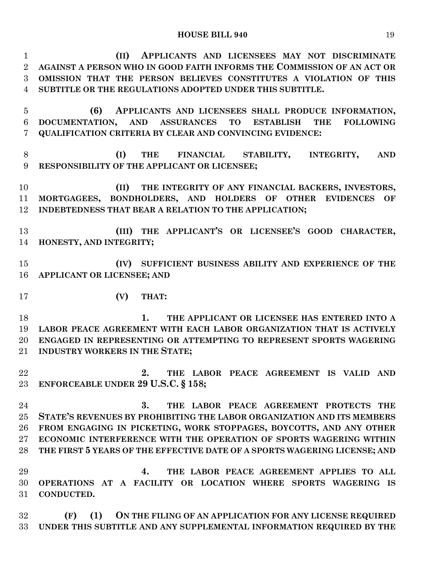| $\mathbf{1}$   | APPLICANTS AND LICENSEES MAY NOT DISCRIMINATE<br>(II)                                                                        |  |  |  |  |
|----------------|------------------------------------------------------------------------------------------------------------------------------|--|--|--|--|
| $\overline{2}$ | AGAINST A PERSON WHO IN GOOD FAITH INFORMS THE COMMISSION OF AN ACT OR                                                       |  |  |  |  |
| 3              | OMISSION THAT THE PERSON BELIEVES CONSTITUTES A VIOLATION OF THIS                                                            |  |  |  |  |
| $\overline{4}$ | SUBTITLE OR THE REGULATIONS ADOPTED UNDER THIS SUBTITLE.                                                                     |  |  |  |  |
| $\overline{5}$ | (6)<br>APPLICANTS AND LICENSEES SHALL PRODUCE INFORMATION,                                                                   |  |  |  |  |
| 6              | DOCUMENTATION,<br><b>ASSURANCES</b><br><b>TO</b><br><b>ESTABLISH</b><br><b>AND</b><br><b>THE</b><br><b>FOLLOWING</b>         |  |  |  |  |
| 7              | QUALIFICATION CRITERIA BY CLEAR AND CONVINCING EVIDENCE:                                                                     |  |  |  |  |
| 8<br>9         | (I)<br><b>THE</b><br><b>FINANCIAL</b><br>STABILITY, INTEGRITY,<br><b>AND</b><br>RESPONSIBILITY OF THE APPLICANT OR LICENSEE; |  |  |  |  |
| 10             | THE INTEGRITY OF ANY FINANCIAL BACKERS, INVESTORS,<br>(II)                                                                   |  |  |  |  |
| 11             | MORTGAGEES, BONDHOLDERS, AND HOLDERS OF OTHER EVIDENCES<br>OF                                                                |  |  |  |  |
| 12             | INDEBTEDNESS THAT BEAR A RELATION TO THE APPLICATION;                                                                        |  |  |  |  |
| 13             | (III) THE APPLICANT'S OR LICENSEE'S GOOD CHARACTER,                                                                          |  |  |  |  |
| 14             | HONESTY, AND INTEGRITY;                                                                                                      |  |  |  |  |
|                |                                                                                                                              |  |  |  |  |
| 15             | (IV) SUFFICIENT BUSINESS ABILITY AND EXPERIENCE OF THE                                                                       |  |  |  |  |
| 16             | APPLICANT OR LICENSEE; AND                                                                                                   |  |  |  |  |
| 17             | (V)<br>THAT:                                                                                                                 |  |  |  |  |
| 18             | 1.<br>THE APPLICANT OR LICENSEE HAS ENTERED INTO A                                                                           |  |  |  |  |
| 19             | LABOR PEACE AGREEMENT WITH EACH LABOR ORGANIZATION THAT IS ACTIVELY                                                          |  |  |  |  |
| 20             | ENGAGED IN REPRESENTING OR ATTEMPTING TO REPRESENT SPORTS WAGERING                                                           |  |  |  |  |
| 21             | INDUSTRY WORKERS IN THE STATE;                                                                                               |  |  |  |  |
|                |                                                                                                                              |  |  |  |  |
| 22             | 2. THE LABOR PEACE AGREEMENT IS VALID AND                                                                                    |  |  |  |  |
| 23             | ENFORCEABLE UNDER 29 U.S.C. § 158;                                                                                           |  |  |  |  |
|                |                                                                                                                              |  |  |  |  |
| 24             | THE LABOR PEACE AGREEMENT PROTECTS THE<br>3.                                                                                 |  |  |  |  |
| 25             | STATE'S REVENUES BY PROHIBITING THE LABOR ORGANIZATION AND ITS MEMBERS                                                       |  |  |  |  |
| 26             | FROM ENGAGING IN PICKETING, WORK STOPPAGES, BOYCOTTS, AND ANY OTHER                                                          |  |  |  |  |
| $27\,$         | ECONOMIC INTERFERENCE WITH THE OPERATION OF SPORTS WAGERING WITHIN                                                           |  |  |  |  |
| 28             | THE FIRST 5 YEARS OF THE EFFECTIVE DATE OF A SPORTS WAGERING LICENSE; AND                                                    |  |  |  |  |
|                |                                                                                                                              |  |  |  |  |
| 29             | THE LABOR PEACE AGREEMENT APPLIES TO ALL<br>4.                                                                               |  |  |  |  |
| 30             | OPERATIONS AT A FACILITY OR LOCATION WHERE SPORTS WAGERING IS                                                                |  |  |  |  |
| 31             | CONDUCTED.                                                                                                                   |  |  |  |  |
|                |                                                                                                                              |  |  |  |  |
| 32             | (1)<br>(F)<br>ON THE FILING OF AN APPLICATION FOR ANY LICENSE REQUIRED                                                       |  |  |  |  |
| 33             | UNDER THIS SUBTITLE AND ANY SUPPLEMENTAL INFORMATION REQUIRED BY THE                                                         |  |  |  |  |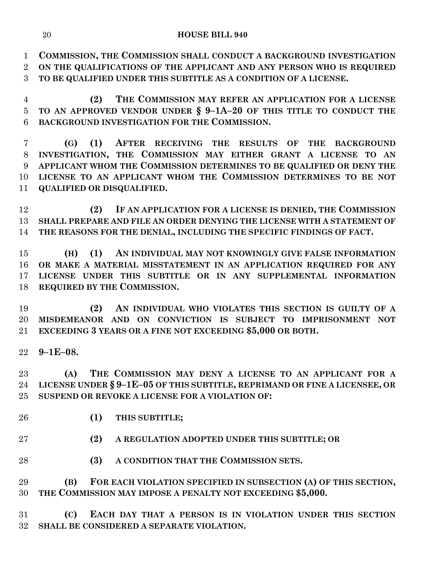**COMMISSION, THE COMMISSION SHALL CONDUCT A BACKGROUND INVESTIGATION ON THE QUALIFICATIONS OF THE APPLICANT AND ANY PERSON WHO IS REQUIRED TO BE QUALIFIED UNDER THIS SUBTITLE AS A CONDITION OF A LICENSE.**

 **(2) THE COMMISSION MAY REFER AN APPLICATION FOR A LICENSE TO AN APPROVED VENDOR UNDER § 9–1A–20 OF THIS TITLE TO CONDUCT THE BACKGROUND INVESTIGATION FOR THE COMMISSION.**

 **(G) (1) AFTER RECEIVING THE RESULTS OF THE BACKGROUND INVESTIGATION, THE COMMISSION MAY EITHER GRANT A LICENSE TO AN APPLICANT WHOM THE COMMISSION DETERMINES TO BE QUALIFIED OR DENY THE LICENSE TO AN APPLICANT WHOM THE COMMISSION DETERMINES TO BE NOT QUALIFIED OR DISQUALIFIED.**

 **(2) IF AN APPLICATION FOR A LICENSE IS DENIED, THE COMMISSION SHALL PREPARE AND FILE AN ORDER DENYING THE LICENSE WITH A STATEMENT OF THE REASONS FOR THE DENIAL, INCLUDING THE SPECIFIC FINDINGS OF FACT.**

 **(H) (1) AN INDIVIDUAL MAY NOT KNOWINGLY GIVE FALSE INFORMATION OR MAKE A MATERIAL MISSTATEMENT IN AN APPLICATION REQUIRED FOR ANY LICENSE UNDER THIS SUBTITLE OR IN ANY SUPPLEMENTAL INFORMATION REQUIRED BY THE COMMISSION.**

 **(2) AN INDIVIDUAL WHO VIOLATES THIS SECTION IS GUILTY OF A MISDEMEANOR AND ON CONVICTION IS SUBJECT TO IMPRISONMENT NOT EXCEEDING 3 YEARS OR A FINE NOT EXCEEDING \$5,000 OR BOTH.**

**9–1E–08.**

 **(A) THE COMMISSION MAY DENY A LICENSE TO AN APPLICANT FOR A LICENSE UNDER § 9–1E–05 OF THIS SUBTITLE, REPRIMAND OR FINE A LICENSEE, OR SUSPEND OR REVOKE A LICENSE FOR A VIOLATION OF:**

- **(1) THIS SUBTITLE;**
- **(2) A REGULATION ADOPTED UNDER THIS SUBTITLE; OR**
- **(3) A CONDITION THAT THE COMMISSION SETS.**

 **(B) FOR EACH VIOLATION SPECIFIED IN SUBSECTION (A) OF THIS SECTION, THE COMMISSION MAY IMPOSE A PENALTY NOT EXCEEDING \$5,000.**

 **(C) EACH DAY THAT A PERSON IS IN VIOLATION UNDER THIS SECTION SHALL BE CONSIDERED A SEPARATE VIOLATION.**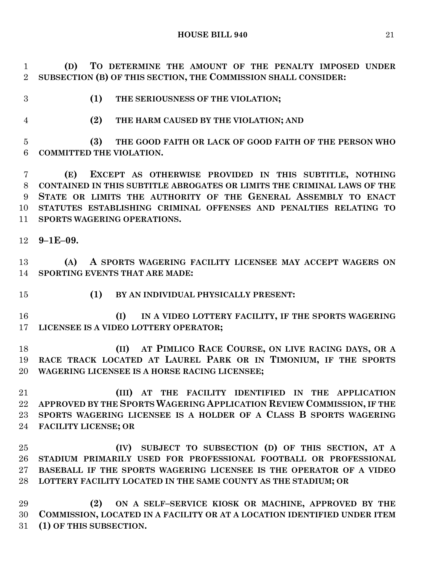**(D) TO DETERMINE THE AMOUNT OF THE PENALTY IMPOSED UNDER SUBSECTION (B) OF THIS SECTION, THE COMMISSION SHALL CONSIDER:**

**(1) THE SERIOUSNESS OF THE VIOLATION;**

**(2) THE HARM CAUSED BY THE VIOLATION; AND**

 **(3) THE GOOD FAITH OR LACK OF GOOD FAITH OF THE PERSON WHO COMMITTED THE VIOLATION.**

 **(E) EXCEPT AS OTHERWISE PROVIDED IN THIS SUBTITLE, NOTHING CONTAINED IN THIS SUBTITLE ABROGATES OR LIMITS THE CRIMINAL LAWS OF THE STATE OR LIMITS THE AUTHORITY OF THE GENERAL ASSEMBLY TO ENACT STATUTES ESTABLISHING CRIMINAL OFFENSES AND PENALTIES RELATING TO SPORTS WAGERING OPERATIONS.**

**9–1E–09.**

 **(A) A SPORTS WAGERING FACILITY LICENSEE MAY ACCEPT WAGERS ON SPORTING EVENTS THAT ARE MADE:**

**(1) BY AN INDIVIDUAL PHYSICALLY PRESENT:**

 **(I) IN A VIDEO LOTTERY FACILITY, IF THE SPORTS WAGERING LICENSEE IS A VIDEO LOTTERY OPERATOR;**

 **(II) AT PIMLICO RACE COURSE, ON LIVE RACING DAYS, OR A RACE TRACK LOCATED AT LAUREL PARK OR IN TIMONIUM, IF THE SPORTS WAGERING LICENSEE IS A HORSE RACING LICENSEE;**

 **(III) AT THE FACILITY IDENTIFIED IN THE APPLICATION APPROVED BY THE SPORTS WAGERING APPLICATION REVIEW COMMISSION, IF THE SPORTS WAGERING LICENSEE IS A HOLDER OF A CLASS B SPORTS WAGERING FACILITY LICENSE; OR**

 **(IV) SUBJECT TO SUBSECTION (D) OF THIS SECTION, AT A STADIUM PRIMARILY USED FOR PROFESSIONAL FOOTBALL OR PROFESSIONAL BASEBALL IF THE SPORTS WAGERING LICENSEE IS THE OPERATOR OF A VIDEO LOTTERY FACILITY LOCATED IN THE SAME COUNTY AS THE STADIUM; OR**

 **(2) ON A SELF–SERVICE KIOSK OR MACHINE, APPROVED BY THE COMMISSION, LOCATED IN A FACILITY OR AT A LOCATION IDENTIFIED UNDER ITEM (1) OF THIS SUBSECTION.**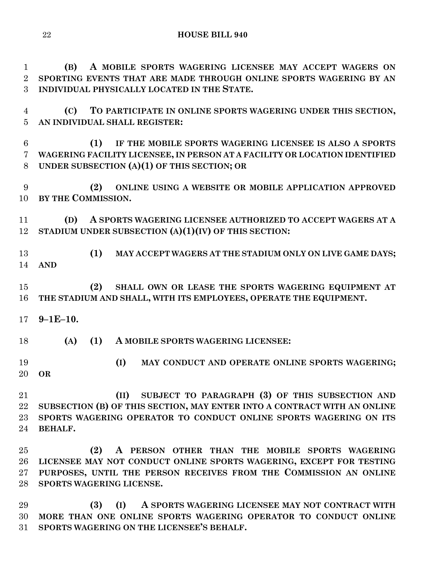**(B) A MOBILE SPORTS WAGERING LICENSEE MAY ACCEPT WAGERS ON SPORTING EVENTS THAT ARE MADE THROUGH ONLINE SPORTS WAGERING BY AN INDIVIDUAL PHYSICALLY LOCATED IN THE STATE.**

 **(C) TO PARTICIPATE IN ONLINE SPORTS WAGERING UNDER THIS SECTION, AN INDIVIDUAL SHALL REGISTER:**

 **(1) IF THE MOBILE SPORTS WAGERING LICENSEE IS ALSO A SPORTS WAGERING FACILITY LICENSEE, IN PERSON AT A FACILITY OR LOCATION IDENTIFIED UNDER SUBSECTION (A)(1) OF THIS SECTION; OR** 

 **(2) ONLINE USING A WEBSITE OR MOBILE APPLICATION APPROVED BY THE COMMISSION.**

 **(D) A SPORTS WAGERING LICENSEE AUTHORIZED TO ACCEPT WAGERS AT A STADIUM UNDER SUBSECTION (A)(1)(IV) OF THIS SECTION:**

 **(1) MAY ACCEPT WAGERS AT THE STADIUM ONLY ON LIVE GAME DAYS; AND**

 **(2) SHALL OWN OR LEASE THE SPORTS WAGERING EQUIPMENT AT THE STADIUM AND SHALL, WITH ITS EMPLOYEES, OPERATE THE EQUIPMENT.**

**9–1E–10.**

**(A) (1) A MOBILE SPORTS WAGERING LICENSEE:**

 **(I) MAY CONDUCT AND OPERATE ONLINE SPORTS WAGERING; OR**

 **(II) SUBJECT TO PARAGRAPH (3) OF THIS SUBSECTION AND SUBSECTION (B) OF THIS SECTION, MAY ENTER INTO A CONTRACT WITH AN ONLINE SPORTS WAGERING OPERATOR TO CONDUCT ONLINE SPORTS WAGERING ON ITS BEHALF.**

 **(2) A PERSON OTHER THAN THE MOBILE SPORTS WAGERING LICENSEE MAY NOT CONDUCT ONLINE SPORTS WAGERING, EXCEPT FOR TESTING PURPOSES, UNTIL THE PERSON RECEIVES FROM THE COMMISSION AN ONLINE SPORTS WAGERING LICENSE.**

 **(3) (I) A SPORTS WAGERING LICENSEE MAY NOT CONTRACT WITH MORE THAN ONE ONLINE SPORTS WAGERING OPERATOR TO CONDUCT ONLINE SPORTS WAGERING ON THE LICENSEE'S BEHALF.**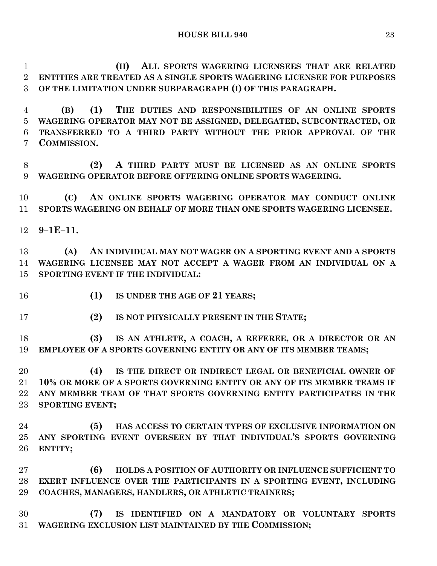**(II) ALL SPORTS WAGERING LICENSEES THAT ARE RELATED ENTITIES ARE TREATED AS A SINGLE SPORTS WAGERING LICENSEE FOR PURPOSES OF THE LIMITATION UNDER SUBPARAGRAPH (I) OF THIS PARAGRAPH.**

 **(B) (1) THE DUTIES AND RESPONSIBILITIES OF AN ONLINE SPORTS WAGERING OPERATOR MAY NOT BE ASSIGNED, DELEGATED, SUBCONTRACTED, OR TRANSFERRED TO A THIRD PARTY WITHOUT THE PRIOR APPROVAL OF THE COMMISSION.**

 **(2) A THIRD PARTY MUST BE LICENSED AS AN ONLINE SPORTS WAGERING OPERATOR BEFORE OFFERING ONLINE SPORTS WAGERING.**

 **(C) AN ONLINE SPORTS WAGERING OPERATOR MAY CONDUCT ONLINE SPORTS WAGERING ON BEHALF OF MORE THAN ONE SPORTS WAGERING LICENSEE.**

**9–1E–11.**

 **(A) AN INDIVIDUAL MAY NOT WAGER ON A SPORTING EVENT AND A SPORTS WAGERING LICENSEE MAY NOT ACCEPT A WAGER FROM AN INDIVIDUAL ON A SPORTING EVENT IF THE INDIVIDUAL:**

- 
- **(1) IS UNDER THE AGE OF 21 YEARS;**
- **(2) IS NOT PHYSICALLY PRESENT IN THE STATE;**

 **(3) IS AN ATHLETE, A COACH, A REFEREE, OR A DIRECTOR OR AN EMPLOYEE OF A SPORTS GOVERNING ENTITY OR ANY OF ITS MEMBER TEAMS;**

 **(4) IS THE DIRECT OR INDIRECT LEGAL OR BENEFICIAL OWNER OF 10% OR MORE OF A SPORTS GOVERNING ENTITY OR ANY OF ITS MEMBER TEAMS IF ANY MEMBER TEAM OF THAT SPORTS GOVERNING ENTITY PARTICIPATES IN THE SPORTING EVENT;**

 **(5) HAS ACCESS TO CERTAIN TYPES OF EXCLUSIVE INFORMATION ON ANY SPORTING EVENT OVERSEEN BY THAT INDIVIDUAL'S SPORTS GOVERNING ENTITY;**

 **(6) HOLDS A POSITION OF AUTHORITY OR INFLUENCE SUFFICIENT TO EXERT INFLUENCE OVER THE PARTICIPANTS IN A SPORTING EVENT, INCLUDING COACHES, MANAGERS, HANDLERS, OR ATHLETIC TRAINERS;**

 **(7) IS IDENTIFIED ON A MANDATORY OR VOLUNTARY SPORTS WAGERING EXCLUSION LIST MAINTAINED BY THE COMMISSION;**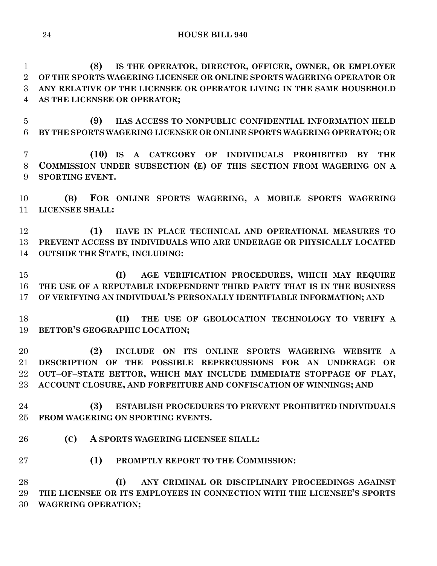**(8) IS THE OPERATOR, DIRECTOR, OFFICER, OWNER, OR EMPLOYEE OF THE SPORTS WAGERING LICENSEE OR ONLINE SPORTS WAGERING OPERATOR OR ANY RELATIVE OF THE LICENSEE OR OPERATOR LIVING IN THE SAME HOUSEHOLD AS THE LICENSEE OR OPERATOR;**

 **(9) HAS ACCESS TO NONPUBLIC CONFIDENTIAL INFORMATION HELD BY THE SPORTS WAGERING LICENSEE OR ONLINE SPORTS WAGERING OPERATOR; OR**

 **(10) IS A CATEGORY OF INDIVIDUALS PROHIBITED BY THE COMMISSION UNDER SUBSECTION (E) OF THIS SECTION FROM WAGERING ON A SPORTING EVENT.**

 **(B) FOR ONLINE SPORTS WAGERING, A MOBILE SPORTS WAGERING LICENSEE SHALL:**

 **(1) HAVE IN PLACE TECHNICAL AND OPERATIONAL MEASURES TO PREVENT ACCESS BY INDIVIDUALS WHO ARE UNDERAGE OR PHYSICALLY LOCATED OUTSIDE THE STATE, INCLUDING:**

 **(I) AGE VERIFICATION PROCEDURES, WHICH MAY REQUIRE THE USE OF A REPUTABLE INDEPENDENT THIRD PARTY THAT IS IN THE BUSINESS OF VERIFYING AN INDIVIDUAL'S PERSONALLY IDENTIFIABLE INFORMATION; AND**

 **(II) THE USE OF GEOLOCATION TECHNOLOGY TO VERIFY A BETTOR'S GEOGRAPHIC LOCATION;**

 **(2) INCLUDE ON ITS ONLINE SPORTS WAGERING WEBSITE A DESCRIPTION OF THE POSSIBLE REPERCUSSIONS FOR AN UNDERAGE OR OUT–OF–STATE BETTOR, WHICH MAY INCLUDE IMMEDIATE STOPPAGE OF PLAY, ACCOUNT CLOSURE, AND FORFEITURE AND CONFISCATION OF WINNINGS; AND**

 **(3) ESTABLISH PROCEDURES TO PREVENT PROHIBITED INDIVIDUALS FROM WAGERING ON SPORTING EVENTS.**

**(C) A SPORTS WAGERING LICENSEE SHALL:**

**(1) PROMPTLY REPORT TO THE COMMISSION:**

 **(I) ANY CRIMINAL OR DISCIPLINARY PROCEEDINGS AGAINST THE LICENSEE OR ITS EMPLOYEES IN CONNECTION WITH THE LICENSEE'S SPORTS WAGERING OPERATION;**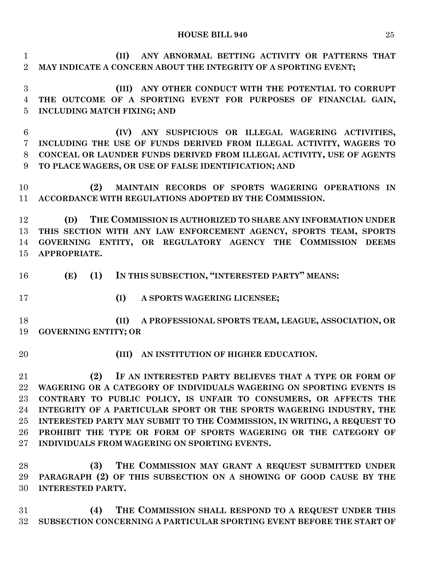**(II) ANY ABNORMAL BETTING ACTIVITY OR PATTERNS THAT MAY INDICATE A CONCERN ABOUT THE INTEGRITY OF A SPORTING EVENT;**

 **(III) ANY OTHER CONDUCT WITH THE POTENTIAL TO CORRUPT THE OUTCOME OF A SPORTING EVENT FOR PURPOSES OF FINANCIAL GAIN, INCLUDING MATCH FIXING; AND**

 **(IV) ANY SUSPICIOUS OR ILLEGAL WAGERING ACTIVITIES, INCLUDING THE USE OF FUNDS DERIVED FROM ILLEGAL ACTIVITY, WAGERS TO CONCEAL OR LAUNDER FUNDS DERIVED FROM ILLEGAL ACTIVITY, USE OF AGENTS TO PLACE WAGERS, OR USE OF FALSE IDENTIFICATION; AND**

 **(2) MAINTAIN RECORDS OF SPORTS WAGERING OPERATIONS IN ACCORDANCE WITH REGULATIONS ADOPTED BY THE COMMISSION.**

 **(D) THE COMMISSION IS AUTHORIZED TO SHARE ANY INFORMATION UNDER THIS SECTION WITH ANY LAW ENFORCEMENT AGENCY, SPORTS TEAM, SPORTS GOVERNING ENTITY, OR REGULATORY AGENCY THE COMMISSION DEEMS APPROPRIATE.**

- **(E) (1) IN THIS SUBSECTION, "INTERESTED PARTY" MEANS:**
- 
- **(I) A SPORTS WAGERING LICENSEE;**

 **(II) A PROFESSIONAL SPORTS TEAM, LEAGUE, ASSOCIATION, OR GOVERNING ENTITY; OR** 

- 
- **(III) AN INSTITUTION OF HIGHER EDUCATION.**

 **(2) IF AN INTERESTED PARTY BELIEVES THAT A TYPE OR FORM OF WAGERING OR A CATEGORY OF INDIVIDUALS WAGERING ON SPORTING EVENTS IS CONTRARY TO PUBLIC POLICY, IS UNFAIR TO CONSUMERS, OR AFFECTS THE INTEGRITY OF A PARTICULAR SPORT OR THE SPORTS WAGERING INDUSTRY, THE INTERESTED PARTY MAY SUBMIT TO THE COMMISSION, IN WRITING, A REQUEST TO PROHIBIT THE TYPE OR FORM OF SPORTS WAGERING OR THE CATEGORY OF INDIVIDUALS FROM WAGERING ON SPORTING EVENTS.**

 **(3) THE COMMISSION MAY GRANT A REQUEST SUBMITTED UNDER PARAGRAPH (2) OF THIS SUBSECTION ON A SHOWING OF GOOD CAUSE BY THE INTERESTED PARTY.**

 **(4) THE COMMISSION SHALL RESPOND TO A REQUEST UNDER THIS SUBSECTION CONCERNING A PARTICULAR SPORTING EVENT BEFORE THE START OF**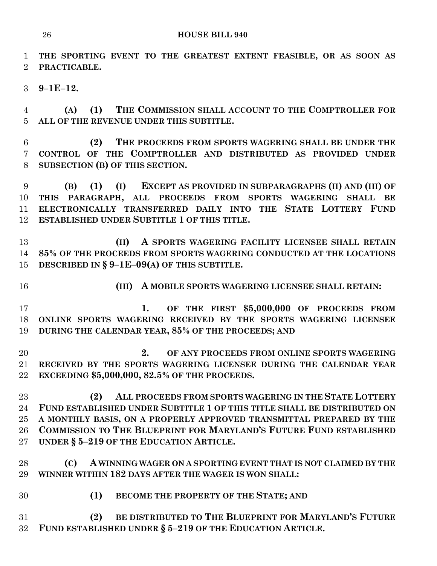**THE SPORTING EVENT TO THE GREATEST EXTENT FEASIBLE, OR AS SOON AS PRACTICABLE.**

**9–1E–12.**

 **(A) (1) THE COMMISSION SHALL ACCOUNT TO THE COMPTROLLER FOR ALL OF THE REVENUE UNDER THIS SUBTITLE.**

 **(2) THE PROCEEDS FROM SPORTS WAGERING SHALL BE UNDER THE CONTROL OF THE COMPTROLLER AND DISTRIBUTED AS PROVIDED UNDER SUBSECTION (B) OF THIS SECTION.**

 **(B) (1) (I) EXCEPT AS PROVIDED IN SUBPARAGRAPHS (II) AND (III) OF THIS PARAGRAPH, ALL PROCEEDS FROM SPORTS WAGERING SHALL BE ELECTRONICALLY TRANSFERRED DAILY INTO THE STATE LOTTERY FUND ESTABLISHED UNDER SUBTITLE 1 OF THIS TITLE.**

 **(II) A SPORTS WAGERING FACILITY LICENSEE SHALL RETAIN 85% OF THE PROCEEDS FROM SPORTS WAGERING CONDUCTED AT THE LOCATIONS DESCRIBED IN § 9–1E–09(A) OF THIS SUBTITLE.**

**(III) A MOBILE SPORTS WAGERING LICENSEE SHALL RETAIN:**

 **1. OF THE FIRST \$5,000,000 OF PROCEEDS FROM ONLINE SPORTS WAGERING RECEIVED BY THE SPORTS WAGERING LICENSEE DURING THE CALENDAR YEAR, 85% OF THE PROCEEDS; AND**

 **2. OF ANY PROCEEDS FROM ONLINE SPORTS WAGERING RECEIVED BY THE SPORTS WAGERING LICENSEE DURING THE CALENDAR YEAR EXCEEDING \$5,000,000, 82.5% OF THE PROCEEDS.**

 **(2) ALL PROCEEDS FROM SPORTS WAGERING IN THE STATE LOTTERY FUND ESTABLISHED UNDER SUBTITLE 1 OF THIS TITLE SHALL BE DISTRIBUTED ON A MONTHLY BASIS, ON A PROPERLY APPROVED TRANSMITTAL PREPARED BY THE COMMISSION TO THE BLUEPRINT FOR MARYLAND'S FUTURE FUND ESTABLISHED UNDER § 5–219 OF THE EDUCATION ARTICLE.**

 **(C) A WINNING WAGER ON A SPORTING EVENT THAT IS NOT CLAIMED BY THE WINNER WITHIN 182 DAYS AFTER THE WAGER IS WON SHALL:**

**(1) BECOME THE PROPERTY OF THE STATE; AND**

 **(2) BE DISTRIBUTED TO THE BLUEPRINT FOR MARYLAND'S FUTURE FUND ESTABLISHED UNDER § 5–219 OF THE EDUCATION ARTICLE.**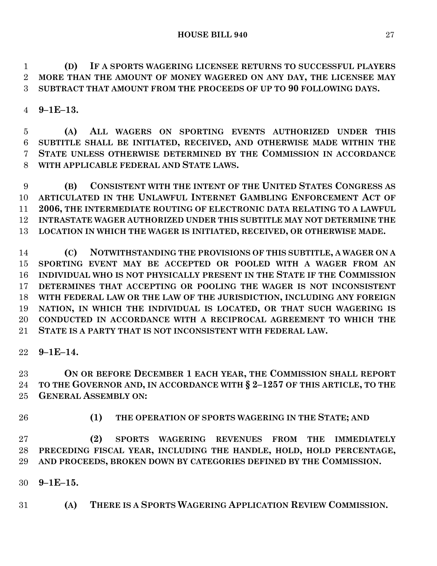**(D) IF A SPORTS WAGERING LICENSEE RETURNS TO SUCCESSFUL PLAYERS MORE THAN THE AMOUNT OF MONEY WAGERED ON ANY DAY, THE LICENSEE MAY SUBTRACT THAT AMOUNT FROM THE PROCEEDS OF UP TO 90 FOLLOWING DAYS.**

**9–1E–13.**

 **(A) ALL WAGERS ON SPORTING EVENTS AUTHORIZED UNDER THIS SUBTITLE SHALL BE INITIATED, RECEIVED, AND OTHERWISE MADE WITHIN THE STATE UNLESS OTHERWISE DETERMINED BY THE COMMISSION IN ACCORDANCE WITH APPLICABLE FEDERAL AND STATE LAWS.**

 **(B) CONSISTENT WITH THE INTENT OF THE UNITED STATES CONGRESS AS ARTICULATED IN THE UNLAWFUL INTERNET GAMBLING ENFORCEMENT ACT OF 2006, THE INTERMEDIATE ROUTING OF ELECTRONIC DATA RELATING TO A LAWFUL INTRASTATE WAGER AUTHORIZED UNDER THIS SUBTITLE MAY NOT DETERMINE THE LOCATION IN WHICH THE WAGER IS INITIATED, RECEIVED, OR OTHERWISE MADE.**

 **(C) NOTWITHSTANDING THE PROVISIONS OF THIS SUBTITLE, A WAGER ON A SPORTING EVENT MAY BE ACCEPTED OR POOLED WITH A WAGER FROM AN INDIVIDUAL WHO IS NOT PHYSICALLY PRESENT IN THE STATE IF THE COMMISSION DETERMINES THAT ACCEPTING OR POOLING THE WAGER IS NOT INCONSISTENT WITH FEDERAL LAW OR THE LAW OF THE JURISDICTION, INCLUDING ANY FOREIGN NATION, IN WHICH THE INDIVIDUAL IS LOCATED, OR THAT SUCH WAGERING IS CONDUCTED IN ACCORDANCE WITH A RECIPROCAL AGREEMENT TO WHICH THE STATE IS A PARTY THAT IS NOT INCONSISTENT WITH FEDERAL LAW.**

**9–1E–14.**

 **ON OR BEFORE DECEMBER 1 EACH YEAR, THE COMMISSION SHALL REPORT TO THE GOVERNOR AND, IN ACCORDANCE WITH § 2–1257 OF THIS ARTICLE, TO THE GENERAL ASSEMBLY ON:**

**(1) THE OPERATION OF SPORTS WAGERING IN THE STATE; AND**

 **(2) SPORTS WAGERING REVENUES FROM THE IMMEDIATELY PRECEDING FISCAL YEAR, INCLUDING THE HANDLE, HOLD, HOLD PERCENTAGE, AND PROCEEDS, BROKEN DOWN BY CATEGORIES DEFINED BY THE COMMISSION.**

**9–1E–15.**

**(A) THERE IS A SPORTS WAGERING APPLICATION REVIEW COMMISSION.**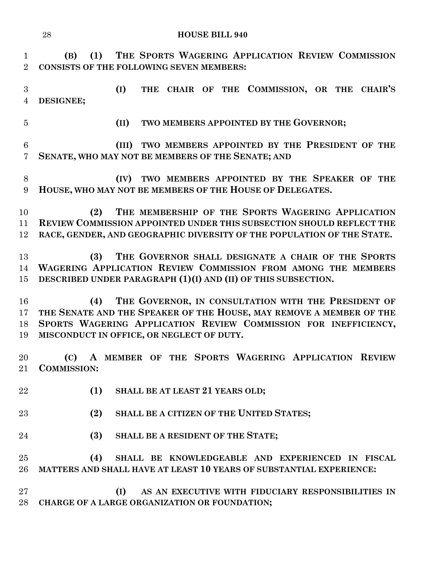**(B) (1) THE SPORTS WAGERING APPLICATION REVIEW COMMISSION CONSISTS OF THE FOLLOWING SEVEN MEMBERS:**

 **(I) THE CHAIR OF THE COMMISSION, OR THE CHAIR'S DESIGNEE;**

**(II) TWO MEMBERS APPOINTED BY THE GOVERNOR;**

 **(III) TWO MEMBERS APPOINTED BY THE PRESIDENT OF THE SENATE, WHO MAY NOT BE MEMBERS OF THE SENATE; AND**

 **(IV) TWO MEMBERS APPOINTED BY THE SPEAKER OF THE HOUSE, WHO MAY NOT BE MEMBERS OF THE HOUSE OF DELEGATES.**

 **(2) THE MEMBERSHIP OF THE SPORTS WAGERING APPLICATION REVIEW COMMISSION APPOINTED UNDER THIS SUBSECTION SHOULD REFLECT THE RACE, GENDER, AND GEOGRAPHIC DIVERSITY OF THE POPULATION OF THE STATE.**

 **(3) THE GOVERNOR SHALL DESIGNATE A CHAIR OF THE SPORTS WAGERING APPLICATION REVIEW COMMISSION FROM AMONG THE MEMBERS DESCRIBED UNDER PARAGRAPH (1)(I) AND (II) OF THIS SUBSECTION.**

 **(4) THE GOVERNOR, IN CONSULTATION WITH THE PRESIDENT OF THE SENATE AND THE SPEAKER OF THE HOUSE, MAY REMOVE A MEMBER OF THE SPORTS WAGERING APPLICATION REVIEW COMMISSION FOR INEFFICIENCY, MISCONDUCT IN OFFICE, OR NEGLECT OF DUTY.**

 **(C) A MEMBER OF THE SPORTS WAGERING APPLICATION REVIEW COMMISSION:**

- **(1) SHALL BE AT LEAST 21 YEARS OLD;**
- **(2) SHALL BE A CITIZEN OF THE UNITED STATES;**
- **(3) SHALL BE A RESIDENT OF THE STATE;**

 **(4) SHALL BE KNOWLEDGEABLE AND EXPERIENCED IN FISCAL MATTERS AND SHALL HAVE AT LEAST 10 YEARS OF SUBSTANTIAL EXPERIENCE:**

 **(I) AS AN EXECUTIVE WITH FIDUCIARY RESPONSIBILITIES IN CHARGE OF A LARGE ORGANIZATION OR FOUNDATION;**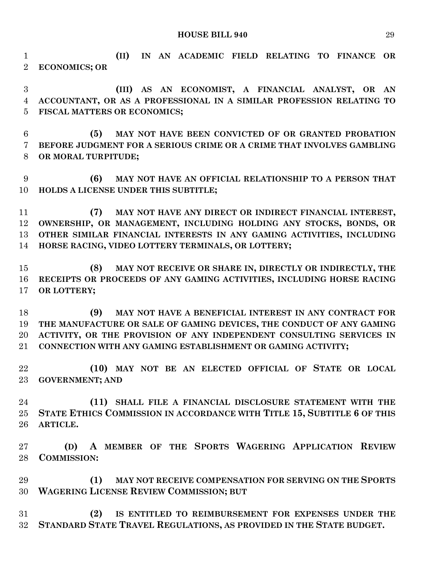**(II) IN AN ACADEMIC FIELD RELATING TO FINANCE OR ECONOMICS; OR**

 **(III) AS AN ECONOMIST, A FINANCIAL ANALYST, OR AN ACCOUNTANT, OR AS A PROFESSIONAL IN A SIMILAR PROFESSION RELATING TO FISCAL MATTERS OR ECONOMICS;**

 **(5) MAY NOT HAVE BEEN CONVICTED OF OR GRANTED PROBATION BEFORE JUDGMENT FOR A SERIOUS CRIME OR A CRIME THAT INVOLVES GAMBLING OR MORAL TURPITUDE;**

 **(6) MAY NOT HAVE AN OFFICIAL RELATIONSHIP TO A PERSON THAT HOLDS A LICENSE UNDER THIS SUBTITLE;**

 **(7) MAY NOT HAVE ANY DIRECT OR INDIRECT FINANCIAL INTEREST, OWNERSHIP, OR MANAGEMENT, INCLUDING HOLDING ANY STOCKS, BONDS, OR OTHER SIMILAR FINANCIAL INTERESTS IN ANY GAMING ACTIVITIES, INCLUDING HORSE RACING, VIDEO LOTTERY TERMINALS, OR LOTTERY;**

 **(8) MAY NOT RECEIVE OR SHARE IN, DIRECTLY OR INDIRECTLY, THE RECEIPTS OR PROCEEDS OF ANY GAMING ACTIVITIES, INCLUDING HORSE RACING OR LOTTERY;**

 **(9) MAY NOT HAVE A BENEFICIAL INTEREST IN ANY CONTRACT FOR THE MANUFACTURE OR SALE OF GAMING DEVICES, THE CONDUCT OF ANY GAMING ACTIVITY, OR THE PROVISION OF ANY INDEPENDENT CONSULTING SERVICES IN CONNECTION WITH ANY GAMING ESTABLISHMENT OR GAMING ACTIVITY;**

 **(10) MAY NOT BE AN ELECTED OFFICIAL OF STATE OR LOCAL GOVERNMENT; AND**

 **(11) SHALL FILE A FINANCIAL DISCLOSURE STATEMENT WITH THE STATE ETHICS COMMISSION IN ACCORDANCE WITH TITLE 15, SUBTITLE 6 OF THIS ARTICLE.**

 **(D) A MEMBER OF THE SPORTS WAGERING APPLICATION REVIEW COMMISSION:**

 **(1) MAY NOT RECEIVE COMPENSATION FOR SERVING ON THE SPORTS WAGERING LICENSE REVIEW COMMISSION; BUT**

 **(2) IS ENTITLED TO REIMBURSEMENT FOR EXPENSES UNDER THE STANDARD STATE TRAVEL REGULATIONS, AS PROVIDED IN THE STATE BUDGET.**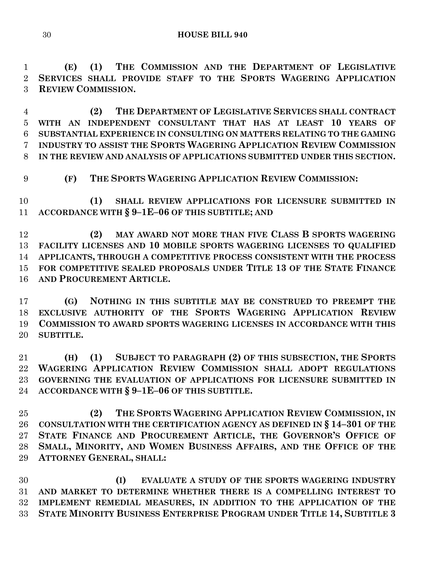**(E) (1) THE COMMISSION AND THE DEPARTMENT OF LEGISLATIVE SERVICES SHALL PROVIDE STAFF TO THE SPORTS WAGERING APPLICATION REVIEW COMMISSION.**

 **(2) THE DEPARTMENT OF LEGISLATIVE SERVICES SHALL CONTRACT WITH AN INDEPENDENT CONSULTANT THAT HAS AT LEAST 10 YEARS OF SUBSTANTIAL EXPERIENCE IN CONSULTING ON MATTERS RELATING TO THE GAMING INDUSTRY TO ASSIST THE SPORTS WAGERING APPLICATION REVIEW COMMISSION IN THE REVIEW AND ANALYSIS OF APPLICATIONS SUBMITTED UNDER THIS SECTION.**

**(F) THE SPORTS WAGERING APPLICATION REVIEW COMMISSION:**

 **(1) SHALL REVIEW APPLICATIONS FOR LICENSURE SUBMITTED IN ACCORDANCE WITH § 9–1E–06 OF THIS SUBTITLE; AND**

 **(2) MAY AWARD NOT MORE THAN FIVE CLASS B SPORTS WAGERING FACILITY LICENSES AND 10 MOBILE SPORTS WAGERING LICENSES TO QUALIFIED APPLICANTS, THROUGH A COMPETITIVE PROCESS CONSISTENT WITH THE PROCESS FOR COMPETITIVE SEALED PROPOSALS UNDER TITLE 13 OF THE STATE FINANCE AND PROCUREMENT ARTICLE.**

 **(G) NOTHING IN THIS SUBTITLE MAY BE CONSTRUED TO PREEMPT THE EXCLUSIVE AUTHORITY OF THE SPORTS WAGERING APPLICATION REVIEW COMMISSION TO AWARD SPORTS WAGERING LICENSES IN ACCORDANCE WITH THIS SUBTITLE.**

 **(H) (1) SUBJECT TO PARAGRAPH (2) OF THIS SUBSECTION, THE SPORTS WAGERING APPLICATION REVIEW COMMISSION SHALL ADOPT REGULATIONS GOVERNING THE EVALUATION OF APPLICATIONS FOR LICENSURE SUBMITTED IN ACCORDANCE WITH § 9–1E–06 OF THIS SUBTITLE.**

 **(2) THE SPORTS WAGERING APPLICATION REVIEW COMMISSION, IN CONSULTATION WITH THE CERTIFICATION AGENCY AS DEFINED IN § 14–301 OF THE STATE FINANCE AND PROCUREMENT ARTICLE, THE GOVERNOR'S OFFICE OF SMALL, MINORITY, AND WOMEN BUSINESS AFFAIRS, AND THE OFFICE OF THE ATTORNEY GENERAL, SHALL:**

 **(I) EVALUATE A STUDY OF THE SPORTS WAGERING INDUSTRY AND MARKET TO DETERMINE WHETHER THERE IS A COMPELLING INTEREST TO IMPLEMENT REMEDIAL MEASURES, IN ADDITION TO THE APPLICATION OF THE STATE MINORITY BUSINESS ENTERPRISE PROGRAM UNDER TITLE 14, SUBTITLE 3**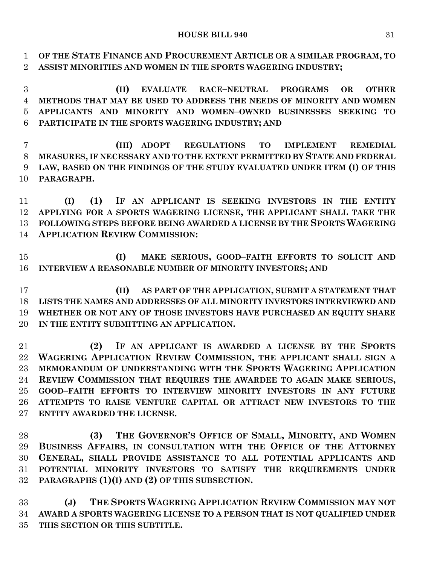**OF THE STATE FINANCE AND PROCUREMENT ARTICLE OR A SIMILAR PROGRAM, TO ASSIST MINORITIES AND WOMEN IN THE SPORTS WAGERING INDUSTRY;**

 **(II) EVALUATE RACE–NEUTRAL PROGRAMS OR OTHER METHODS THAT MAY BE USED TO ADDRESS THE NEEDS OF MINORITY AND WOMEN APPLICANTS AND MINORITY AND WOMEN–OWNED BUSINESSES SEEKING TO PARTICIPATE IN THE SPORTS WAGERING INDUSTRY; AND**

 **(III) ADOPT REGULATIONS TO IMPLEMENT REMEDIAL MEASURES, IF NECESSARY AND TO THE EXTENT PERMITTED BY STATE AND FEDERAL LAW, BASED ON THE FINDINGS OF THE STUDY EVALUATED UNDER ITEM (I) OF THIS PARAGRAPH.**

 **(I) (1) IF AN APPLICANT IS SEEKING INVESTORS IN THE ENTITY APPLYING FOR A SPORTS WAGERING LICENSE, THE APPLICANT SHALL TAKE THE FOLLOWING STEPS BEFORE BEING AWARDED A LICENSE BY THE SPORTS WAGERING APPLICATION REVIEW COMMISSION:**

 **(I) MAKE SERIOUS, GOOD–FAITH EFFORTS TO SOLICIT AND INTERVIEW A REASONABLE NUMBER OF MINORITY INVESTORS; AND**

 **(II) AS PART OF THE APPLICATION, SUBMIT A STATEMENT THAT LISTS THE NAMES AND ADDRESSES OF ALL MINORITY INVESTORS INTERVIEWED AND WHETHER OR NOT ANY OF THOSE INVESTORS HAVE PURCHASED AN EQUITY SHARE IN THE ENTITY SUBMITTING AN APPLICATION.**

 **(2) IF AN APPLICANT IS AWARDED A LICENSE BY THE SPORTS WAGERING APPLICATION REVIEW COMMISSION, THE APPLICANT SHALL SIGN A MEMORANDUM OF UNDERSTANDING WITH THE SPORTS WAGERING APPLICATION REVIEW COMMISSION THAT REQUIRES THE AWARDEE TO AGAIN MAKE SERIOUS, GOOD–FAITH EFFORTS TO INTERVIEW MINORITY INVESTORS IN ANY FUTURE ATTEMPTS TO RAISE VENTURE CAPITAL OR ATTRACT NEW INVESTORS TO THE ENTITY AWARDED THE LICENSE.**

 **(3) THE GOVERNOR'S OFFICE OF SMALL, MINORITY, AND WOMEN BUSINESS AFFAIRS, IN CONSULTATION WITH THE OFFICE OF THE ATTORNEY GENERAL, SHALL PROVIDE ASSISTANCE TO ALL POTENTIAL APPLICANTS AND POTENTIAL MINORITY INVESTORS TO SATISFY THE REQUIREMENTS UNDER PARAGRAPHS (1)(I) AND (2) OF THIS SUBSECTION.**

 **(J) THE SPORTS WAGERING APPLICATION REVIEW COMMISSION MAY NOT AWARD A SPORTS WAGERING LICENSE TO A PERSON THAT IS NOT QUALIFIED UNDER THIS SECTION OR THIS SUBTITLE.**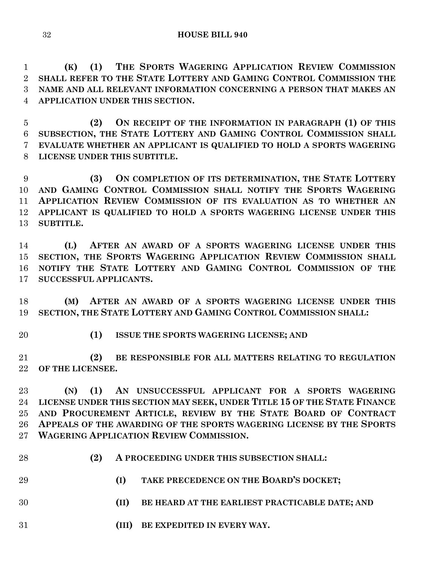**(K) (1) THE SPORTS WAGERING APPLICATION REVIEW COMMISSION SHALL REFER TO THE STATE LOTTERY AND GAMING CONTROL COMMISSION THE NAME AND ALL RELEVANT INFORMATION CONCERNING A PERSON THAT MAKES AN APPLICATION UNDER THIS SECTION.**

 **(2) ON RECEIPT OF THE INFORMATION IN PARAGRAPH (1) OF THIS SUBSECTION, THE STATE LOTTERY AND GAMING CONTROL COMMISSION SHALL EVALUATE WHETHER AN APPLICANT IS QUALIFIED TO HOLD A SPORTS WAGERING LICENSE UNDER THIS SUBTITLE.**

 **(3) ON COMPLETION OF ITS DETERMINATION, THE STATE LOTTERY AND GAMING CONTROL COMMISSION SHALL NOTIFY THE SPORTS WAGERING APPLICATION REVIEW COMMISSION OF ITS EVALUATION AS TO WHETHER AN APPLICANT IS QUALIFIED TO HOLD A SPORTS WAGERING LICENSE UNDER THIS SUBTITLE.**

 **(L) AFTER AN AWARD OF A SPORTS WAGERING LICENSE UNDER THIS SECTION, THE SPORTS WAGERING APPLICATION REVIEW COMMISSION SHALL NOTIFY THE STATE LOTTERY AND GAMING CONTROL COMMISSION OF THE SUCCESSFUL APPLICANTS.**

 **(M) AFTER AN AWARD OF A SPORTS WAGERING LICENSE UNDER THIS SECTION, THE STATE LOTTERY AND GAMING CONTROL COMMISSION SHALL:**

- 
- **(1) ISSUE THE SPORTS WAGERING LICENSE; AND**

 **(2) BE RESPONSIBLE FOR ALL MATTERS RELATING TO REGULATION OF THE LICENSEE.**

 **(N) (1) AN UNSUCCESSFUL APPLICANT FOR A SPORTS WAGERING LICENSE UNDER THIS SECTION MAY SEEK, UNDER TITLE 15 OF THE STATE FINANCE AND PROCUREMENT ARTICLE, REVIEW BY THE STATE BOARD OF CONTRACT APPEALS OF THE AWARDING OF THE SPORTS WAGERING LICENSE BY THE SPORTS WAGERING APPLICATION REVIEW COMMISSION.**

- 
- **(2) A PROCEEDING UNDER THIS SUBSECTION SHALL:**
- **(I) TAKE PRECEDENCE ON THE BOARD'S DOCKET;**
- **(II) BE HEARD AT THE EARLIEST PRACTICABLE DATE; AND**
- **(III) BE EXPEDITED IN EVERY WAY.**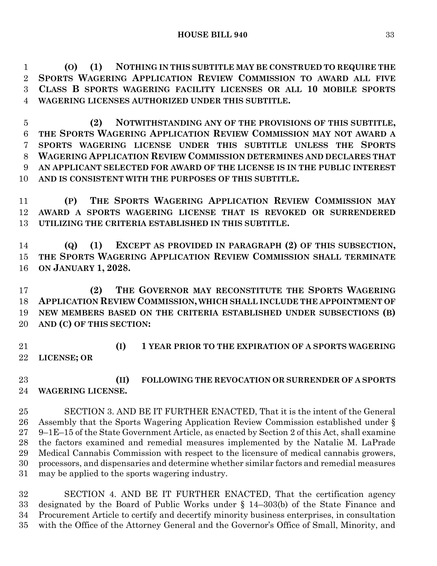**(O) (1) NOTHING IN THIS SUBTITLE MAY BE CONSTRUED TO REQUIRE THE SPORTS WAGERING APPLICATION REVIEW COMMISSION TO AWARD ALL FIVE CLASS B SPORTS WAGERING FACILITY LICENSES OR ALL 10 MOBILE SPORTS WAGERING LICENSES AUTHORIZED UNDER THIS SUBTITLE.**

 **(2) NOTWITHSTANDING ANY OF THE PROVISIONS OF THIS SUBTITLE, THE SPORTS WAGERING APPLICATION REVIEW COMMISSION MAY NOT AWARD A SPORTS WAGERING LICENSE UNDER THIS SUBTITLE UNLESS THE SPORTS WAGERING APPLICATION REVIEW COMMISSION DETERMINES AND DECLARES THAT AN APPLICANT SELECTED FOR AWARD OF THE LICENSE IS IN THE PUBLIC INTEREST AND IS CONSISTENT WITH THE PURPOSES OF THIS SUBTITLE.**

 **(P) THE SPORTS WAGERING APPLICATION REVIEW COMMISSION MAY AWARD A SPORTS WAGERING LICENSE THAT IS REVOKED OR SURRENDERED UTILIZING THE CRITERIA ESTABLISHED IN THIS SUBTITLE.**

 **(Q) (1) EXCEPT AS PROVIDED IN PARAGRAPH (2) OF THIS SUBSECTION, THE SPORTS WAGERING APPLICATION REVIEW COMMISSION SHALL TERMINATE ON JANUARY 1, 2028.**

 **(2) THE GOVERNOR MAY RECONSTITUTE THE SPORTS WAGERING APPLICATION REVIEW COMMISSION, WHICH SHALL INCLUDE THE APPOINTMENT OF NEW MEMBERS BASED ON THE CRITERIA ESTABLISHED UNDER SUBSECTIONS (B) AND (C) OF THIS SECTION:**

 **(I) 1 YEAR PRIOR TO THE EXPIRATION OF A SPORTS WAGERING LICENSE; OR**

 **(II) FOLLOWING THE REVOCATION OR SURRENDER OF A SPORTS WAGERING LICENSE.**

 SECTION 3. AND BE IT FURTHER ENACTED, That it is the intent of the General Assembly that the Sports Wagering Application Review Commission established under § 9–1E–15 of the State Government Article, as enacted by Section 2 of this Act, shall examine the factors examined and remedial measures implemented by the Natalie M. LaPrade Medical Cannabis Commission with respect to the licensure of medical cannabis growers, processors, and dispensaries and determine whether similar factors and remedial measures may be applied to the sports wagering industry.

 SECTION 4. AND BE IT FURTHER ENACTED, That the certification agency designated by the Board of Public Works under § 14–303(b) of the State Finance and Procurement Article to certify and decertify minority business enterprises, in consultation with the Office of the Attorney General and the Governor's Office of Small, Minority, and